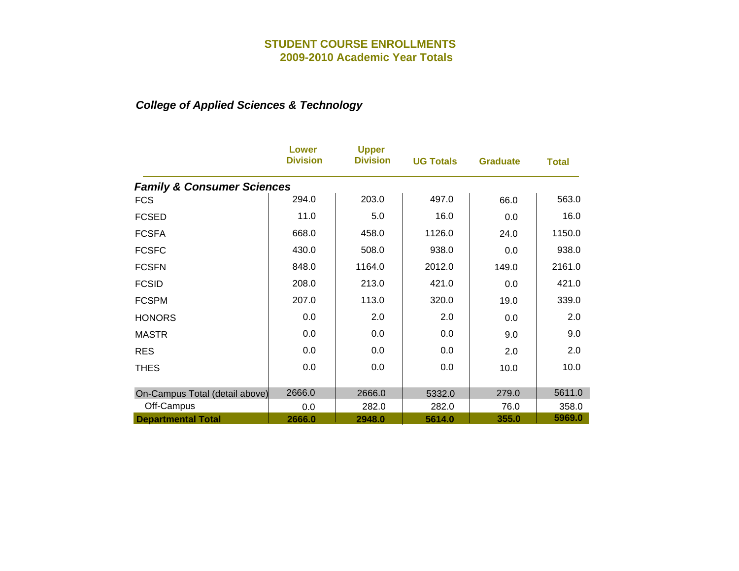|                                       | <b>Lower</b><br><b>Division</b> | <b>Upper</b><br><b>Division</b> | <b>UG Totals</b> | <b>Graduate</b> | <b>Total</b> |
|---------------------------------------|---------------------------------|---------------------------------|------------------|-----------------|--------------|
| <b>Family &amp; Consumer Sciences</b> |                                 |                                 |                  |                 |              |
| <b>FCS</b>                            | 294.0                           | 203.0                           | 497.0            | 66.0            | 563.0        |
| <b>FCSED</b>                          | 11.0                            | 5.0                             | 16.0             | 0.0             | 16.0         |
| <b>FCSFA</b>                          | 668.0                           | 458.0                           | 1126.0           | 24.0            | 1150.0       |
| <b>FCSFC</b>                          | 430.0                           | 508.0                           | 938.0            | 0.0             | 938.0        |
| <b>FCSFN</b>                          | 848.0                           | 1164.0                          | 2012.0           | 149.0           | 2161.0       |
| <b>FCSID</b>                          | 208.0                           | 213.0                           | 421.0            | 0.0             | 421.0        |
| <b>FCSPM</b>                          | 207.0                           | 113.0                           | 320.0            | 19.0            | 339.0        |
| <b>HONORS</b>                         | 0.0                             | 2.0                             | 2.0              | 0.0             | 2.0          |
| <b>MASTR</b>                          | 0.0                             | 0.0                             | 0.0              | 9.0             | 9.0          |
| <b>RES</b>                            | 0.0                             | 0.0                             | 0.0              | 2.0             | 2.0          |
| <b>THES</b>                           | 0.0                             | 0.0                             | 0.0              | 10.0            | 10.0         |
|                                       |                                 |                                 |                  |                 |              |
| On-Campus Total (detail above)        | 2666.0                          | 2666.0                          | 5332.0           | 279.0           | 5611.0       |
| Off-Campus                            | 0.0                             | 282.0                           | 282.0            | 76.0            | 358.0        |
| <b>Departmental Total</b>             | 2666.0                          | 2948.0                          | 5614.0           | 355.0           | 5969.0       |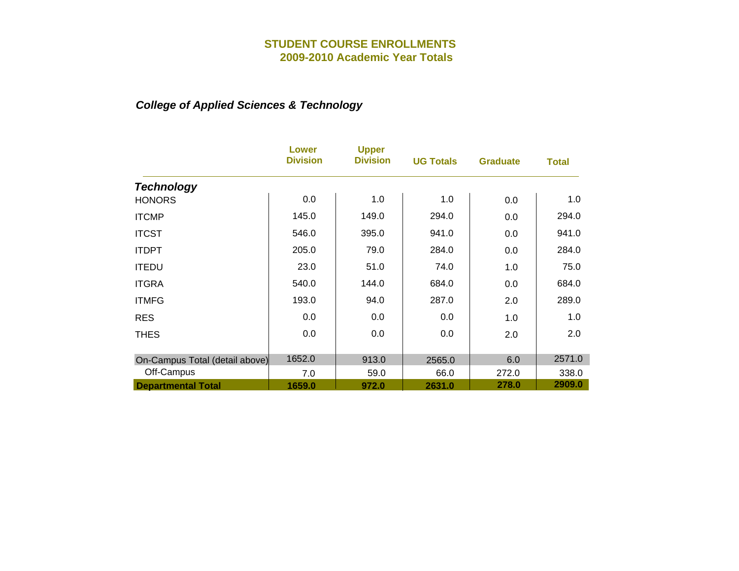|                                | <b>Lower</b><br><b>Division</b> | <b>Upper</b><br><b>Division</b> | <b>UG Totals</b> | <b>Graduate</b> | <b>Total</b> |
|--------------------------------|---------------------------------|---------------------------------|------------------|-----------------|--------------|
| <b>Technology</b>              |                                 |                                 |                  |                 |              |
| <b>HONORS</b>                  | 0.0                             | 1.0                             | 1.0              | 0.0             | 1.0          |
| <b>ITCMP</b>                   | 145.0                           | 149.0                           | 294.0            | 0.0             | 294.0        |
| <b>ITCST</b>                   | 546.0                           | 395.0                           | 941.0            | 0.0             | 941.0        |
| <b>ITDPT</b>                   | 205.0                           | 79.0                            | 284.0            | 0.0             | 284.0        |
| <b>ITEDU</b>                   | 23.0                            | 51.0                            | 74.0             | 1.0             | 75.0         |
| <b>ITGRA</b>                   | 540.0                           | 144.0                           | 684.0            | 0.0             | 684.0        |
| <b>ITMFG</b>                   | 193.0                           | 94.0                            | 287.0            | 2.0             | 289.0        |
| <b>RES</b>                     | 0.0                             | 0.0                             | 0.0              | 1.0             | 1.0          |
| <b>THES</b>                    | 0.0                             | 0.0                             | 0.0              | 2.0             | 2.0          |
| On-Campus Total (detail above) | 1652.0                          | 913.0                           | 2565.0           | 6.0             | 2571.0       |
| Off-Campus                     | 7.0                             | 59.0                            | 66.0             | 272.0           | 338.0        |
| <b>Departmental Total</b>      | 1659.0                          | 972.0                           | 2631.0           | 278.0           | 2909.0       |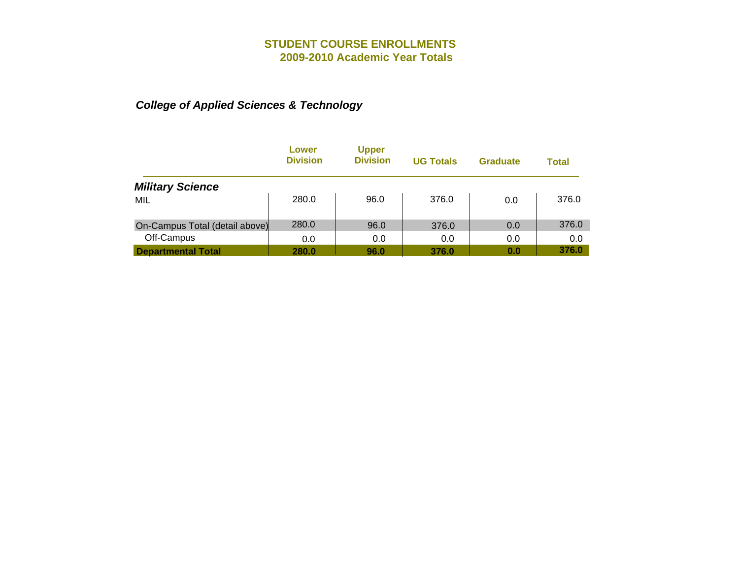|                                | Lower<br><b>Division</b> | <b>Upper</b><br><b>Division</b> | <b>UG Totals</b> | <b>Graduate</b> | <b>Total</b> |
|--------------------------------|--------------------------|---------------------------------|------------------|-----------------|--------------|
| <b>Military Science</b>        |                          |                                 |                  |                 |              |
| MIL                            | 280.0                    | 96.0                            | 376.0            | 0.0             | 376.0        |
| On-Campus Total (detail above) | 280.0                    | 96.0                            | 376.0            | 0.0             | 376.0        |
| Off-Campus                     | 0.0                      | 0.0                             | 0.0              | 0.0             | 0.0          |
| <b>Departmental Total</b>      | 280.0                    | 96.0                            | 376.0            | 0.0             | 376.0        |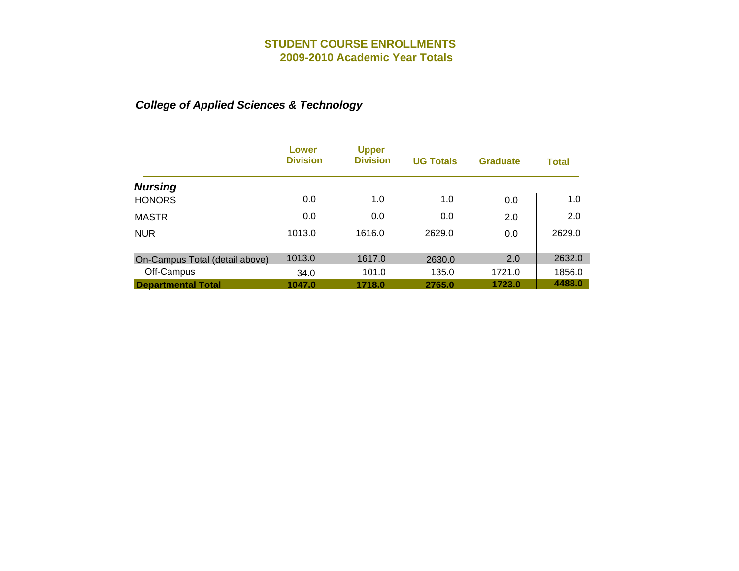|                                | Lower<br><b>Division</b> | <b>Upper</b><br><b>Division</b> | <b>UG Totals</b> | <b>Graduate</b> | <b>Total</b> |
|--------------------------------|--------------------------|---------------------------------|------------------|-----------------|--------------|
| <b>Nursing</b>                 |                          |                                 |                  |                 |              |
| <b>HONORS</b>                  | 0.0                      | 1.0                             | 1.0              | 0.0             | 1.0          |
| <b>MASTR</b>                   | 0.0                      | 0.0                             | 0.0              | 2.0             | 2.0          |
| <b>NUR</b>                     | 1013.0                   | 1616.0                          | 2629.0           | 0.0             | 2629.0       |
| On-Campus Total (detail above) | 1013.0                   | 1617.0                          | 2630.0           | 2.0             | 2632.0       |
| Off-Campus                     | 34.0                     | 101.0                           | 135.0            | 1721.0          | 1856.0       |
| <b>Departmental Total</b>      | 1047.0                   | 1718.0                          | 2765.0           | 1723.0          | 4488.0       |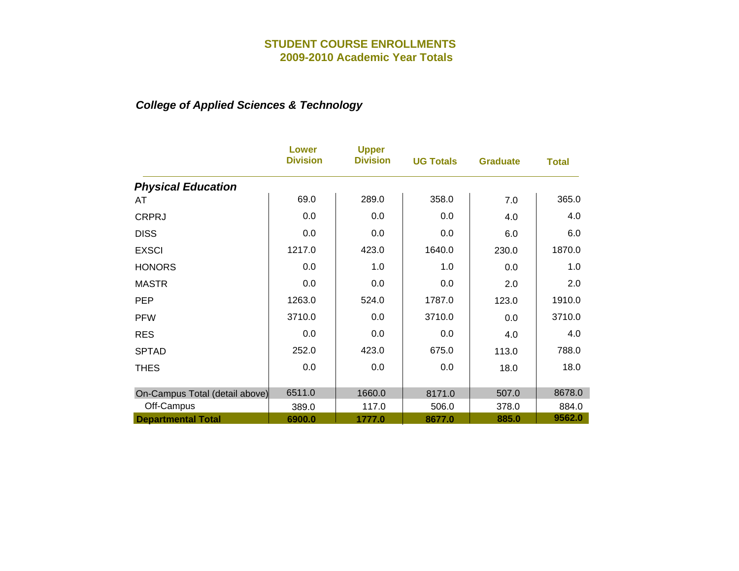|                                | <b>Lower</b><br><b>Division</b> | <b>Upper</b><br><b>Division</b> | <b>UG Totals</b> | <b>Graduate</b> | <b>Total</b> |
|--------------------------------|---------------------------------|---------------------------------|------------------|-----------------|--------------|
| <b>Physical Education</b>      |                                 |                                 |                  |                 |              |
| AT                             | 69.0                            | 289.0                           | 358.0            | 7.0             | 365.0        |
| <b>CRPRJ</b>                   | 0.0                             | 0.0                             | 0.0              | 4.0             | 4.0          |
| <b>DISS</b>                    | 0.0                             | 0.0                             | 0.0              | 6.0             | 6.0          |
| <b>EXSCI</b>                   | 1217.0                          | 423.0                           | 1640.0           | 230.0           | 1870.0       |
| <b>HONORS</b>                  | 0.0                             | 1.0                             | 1.0              | 0.0             | 1.0          |
| <b>MASTR</b>                   | 0.0                             | 0.0                             | 0.0              | 2.0             | 2.0          |
| <b>PEP</b>                     | 1263.0                          | 524.0                           | 1787.0           | 123.0           | 1910.0       |
| <b>PFW</b>                     | 3710.0                          | 0.0                             | 3710.0           | 0.0             | 3710.0       |
| <b>RES</b>                     | 0.0                             | 0.0                             | 0.0              | 4.0             | 4.0          |
| <b>SPTAD</b>                   | 252.0                           | 423.0                           | 675.0            | 113.0           | 788.0        |
| <b>THES</b>                    | 0.0                             | 0.0                             | 0.0              | 18.0            | 18.0         |
|                                |                                 |                                 |                  |                 |              |
| On-Campus Total (detail above) | 6511.0                          | 1660.0                          | 8171.0           | 507.0           | 8678.0       |
| Off-Campus                     | 389.0                           | 117.0                           | 506.0            | 378.0           | 884.0        |
| <b>Departmental Total</b>      | 6900.0                          | 1777.0                          | 8677.0           | 885.0           | 9562.0       |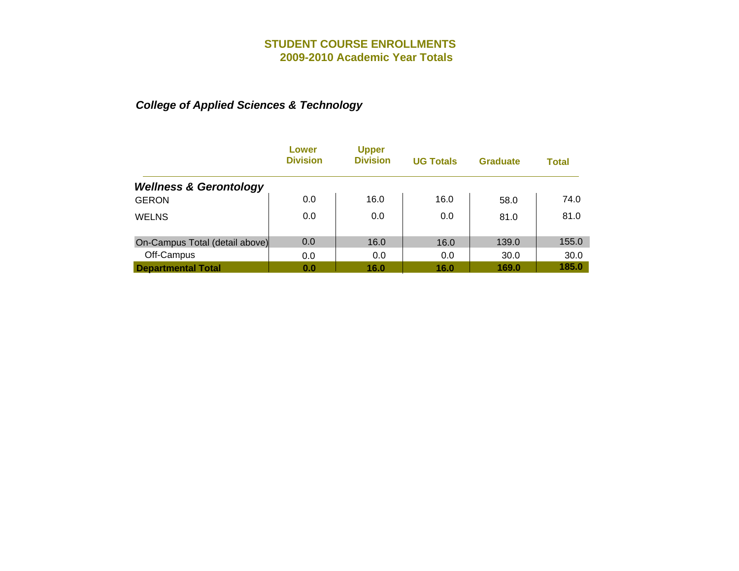|                                   | Lower<br><b>Division</b> | <b>Upper</b><br><b>Division</b> | <b>UG Totals</b> | <b>Graduate</b> | Total |
|-----------------------------------|--------------------------|---------------------------------|------------------|-----------------|-------|
| <b>Wellness &amp; Gerontology</b> |                          |                                 |                  |                 |       |
| <b>GERON</b>                      | 0.0                      | 16.0                            | 16.0             | 58.0            | 74.0  |
| <b>WELNS</b>                      | 0.0                      | 0.0                             | 0.0              | 81.0            | 81.0  |
| On-Campus Total (detail above)    | 0.0                      | 16.0                            | 16.0             | 139.0           | 155.0 |
| Off-Campus                        | 0.0                      | 0.0                             | 0.0              | 30.0            | 30.0  |
| <b>Departmental Total</b>         | 0.0                      | 16.0                            | 16.0             | 169.0           | 185.0 |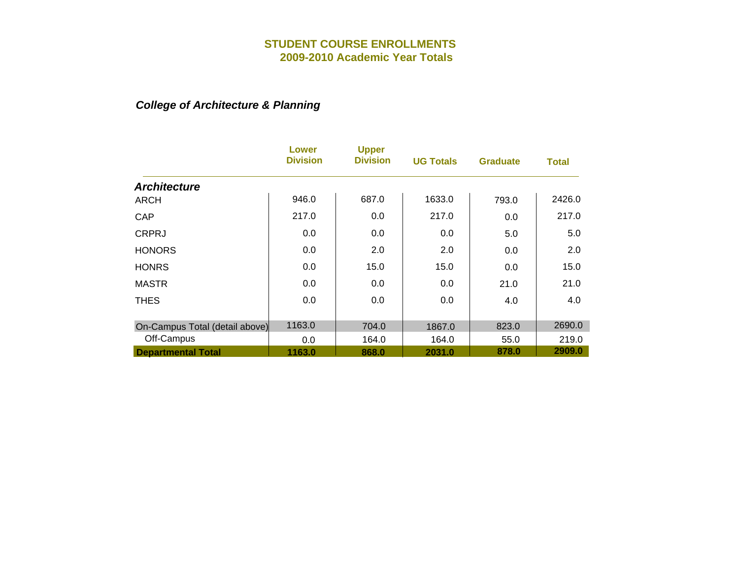## *College of Architecture & Planning*

|                                | Lower<br><b>Division</b> | <b>Upper</b><br><b>Division</b> | <b>UG Totals</b> | <b>Graduate</b> | <b>Total</b> |
|--------------------------------|--------------------------|---------------------------------|------------------|-----------------|--------------|
| <b>Architecture</b>            |                          |                                 |                  |                 |              |
| <b>ARCH</b>                    | 946.0                    | 687.0                           | 1633.0           | 793.0           | 2426.0       |
| CAP                            | 217.0                    | 0.0                             | 217.0            | 0.0             | 217.0        |
| <b>CRPRJ</b>                   | 0.0                      | 0.0                             | 0.0              | 5.0             | 5.0          |
| <b>HONORS</b>                  | 0.0                      | 2.0                             | 2.0              | 0.0             | 2.0          |
| <b>HONRS</b>                   | 0.0                      | 15.0                            | 15.0             | 0.0             | 15.0         |
| <b>MASTR</b>                   | 0.0                      | 0.0                             | 0.0              | 21.0            | 21.0         |
| <b>THES</b>                    | 0.0                      | 0.0                             | 0.0              | 4.0             | 4.0          |
| On-Campus Total (detail above) | 1163.0                   | 704.0                           | 1867.0           | 823.0           | 2690.0       |
| Off-Campus                     | 0.0                      | 164.0                           | 164.0            | 55.0            | 219.0        |
| <b>Departmental Total</b>      | 1163.0                   | 868.0                           | 2031.0           | 878.0           | 2909.0       |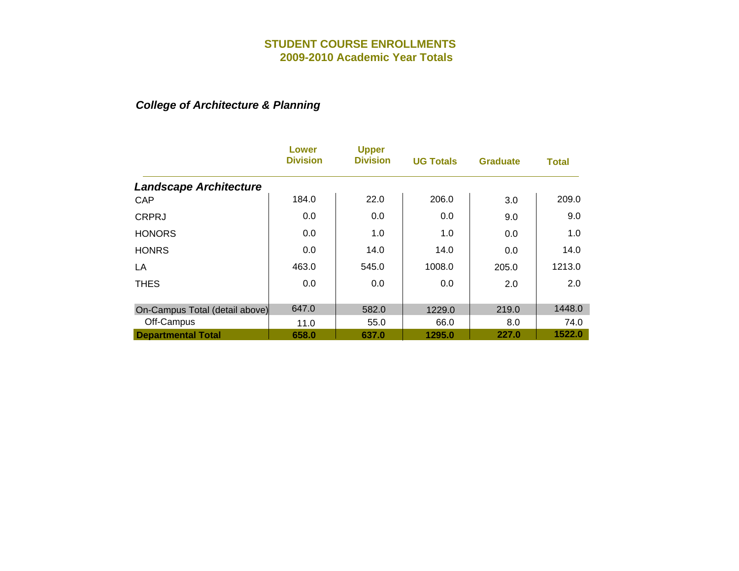## *College of Architecture & Planning*

|                                | Lower<br><b>Division</b> | <b>Upper</b><br><b>Division</b> | <b>UG Totals</b> | <b>Graduate</b> | <b>Total</b> |
|--------------------------------|--------------------------|---------------------------------|------------------|-----------------|--------------|
| <b>Landscape Architecture</b>  |                          |                                 |                  |                 |              |
| CAP                            | 184.0                    | 22.0                            | 206.0            | 3.0             | 209.0        |
| <b>CRPRJ</b>                   | 0.0                      | 0.0                             | 0.0              | 9.0             | 9.0          |
| <b>HONORS</b>                  | 0.0                      | 1.0                             | 1.0              | 0.0             | 1.0          |
| <b>HONRS</b>                   | 0.0                      | 14.0                            | 14.0             | 0.0             | 14.0         |
| LA                             | 463.0                    | 545.0                           | 1008.0           | 205.0           | 1213.0       |
| <b>THES</b>                    | 0.0                      | 0.0                             | 0.0              | 2.0             | 2.0          |
| On-Campus Total (detail above) | 647.0                    | 582.0                           | 1229.0           | 219.0           | 1448.0       |
| Off-Campus                     | 11.0                     | 55.0                            | 66.0             | 8.0             | 74.0         |
| <b>Departmental Total</b>      | 658.0                    | 637.0                           | 1295.0           | 227.0           | 1522.0       |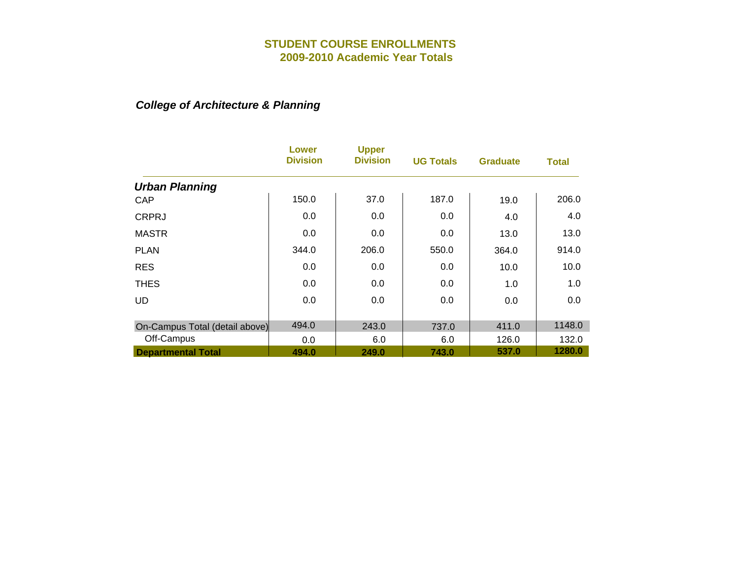## *College of Architecture & Planning*

|                                | <b>Lower</b><br><b>Division</b> | <b>Upper</b><br><b>Division</b> | <b>UG Totals</b> | <b>Graduate</b> | <b>Total</b> |
|--------------------------------|---------------------------------|---------------------------------|------------------|-----------------|--------------|
| <b>Urban Planning</b>          |                                 |                                 |                  |                 |              |
| CAP                            | 150.0                           | 37.0                            | 187.0            | 19.0            | 206.0        |
| <b>CRPRJ</b>                   | 0.0                             | 0.0                             | 0.0              | 4.0             | 4.0          |
| <b>MASTR</b>                   | 0.0                             | 0.0                             | 0.0              | 13.0            | 13.0         |
| <b>PLAN</b>                    | 344.0                           | 206.0                           | 550.0            | 364.0           | 914.0        |
| <b>RES</b>                     | 0.0                             | 0.0                             | 0.0              | 10.0            | 10.0         |
| <b>THES</b>                    | 0.0                             | 0.0                             | 0.0              | 1.0             | 1.0          |
| <b>UD</b>                      | 0.0                             | 0.0                             | 0.0              | 0.0             | 0.0          |
| On-Campus Total (detail above) | 494.0                           | 243.0                           | 737.0            | 411.0           | 1148.0       |
| Off-Campus                     | 0.0                             | 6.0                             | 6.0              | 126.0           | 132.0        |
| <b>Departmental Total</b>      | 494.0                           | 249.0                           | 743.0            | 537.0           | 1280.0       |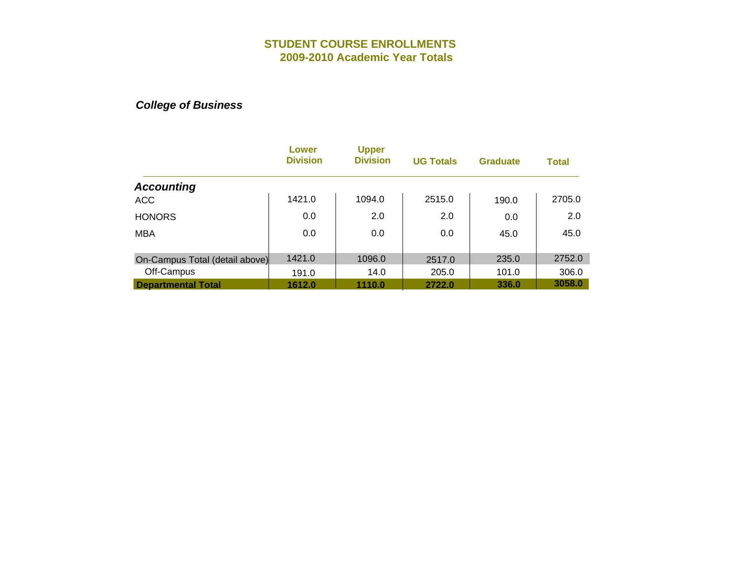|                                | Lower<br><b>Division</b> | <b>Upper</b><br><b>Division</b> | <b>UG Totals</b> | <b>Graduate</b> | <b>Total</b> |
|--------------------------------|--------------------------|---------------------------------|------------------|-----------------|--------------|
| <b>Accounting</b>              |                          |                                 |                  |                 |              |
| <b>ACC</b>                     | 1421.0                   | 1094.0                          | 2515.0           | 190.0           | 2705.0       |
| <b>HONORS</b>                  | 0.0                      | 2.0                             | 2.0              | 0.0             | 2.0          |
| <b>MBA</b>                     | 0.0                      | 0.0                             | 0.0              | 45.0            | 45.0         |
| On-Campus Total (detail above) | 1421.0                   | 1096.0                          | 2517.0           | 235.0           | 2752.0       |
| Off-Campus                     | 191.0                    | 14.0                            | 205.0            | 101.0           | 306.0        |
| <b>Departmental Total</b>      | 1612.0                   | 1110.0                          | 2722.0           | 336.0           | 3058.0       |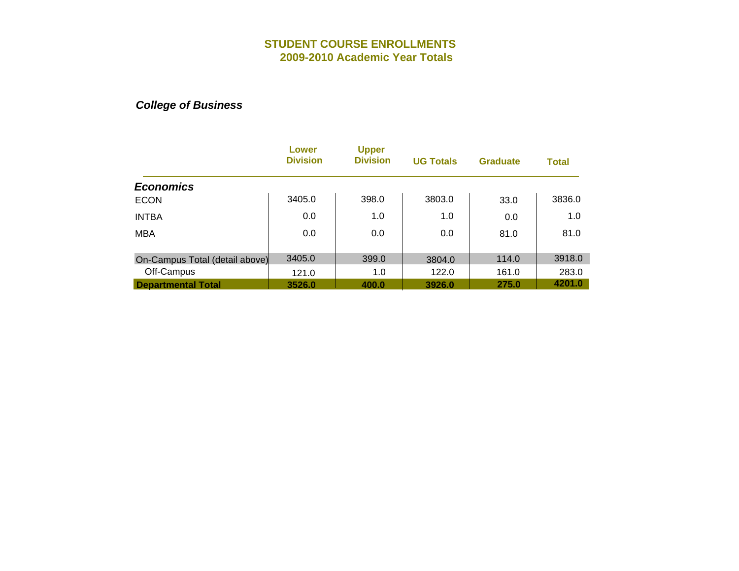|                                | Lower<br><b>Division</b> | <b>Upper</b><br><b>Division</b> | <b>UG Totals</b> | <b>Graduate</b> | <b>Total</b> |
|--------------------------------|--------------------------|---------------------------------|------------------|-----------------|--------------|
| <b>Economics</b>               |                          |                                 |                  |                 |              |
| <b>ECON</b>                    | 3405.0                   | 398.0                           | 3803.0           | 33.0            | 3836.0       |
| <b>INTBA</b>                   | 0.0                      | 1.0                             | 1.0              | 0.0             | 1.0          |
| <b>MBA</b>                     | 0.0                      | 0.0                             | 0.0              | 81.0            | 81.0         |
| On-Campus Total (detail above) | 3405.0                   | 399.0                           | 3804.0           | 114.0           | 3918.0       |
| Off-Campus                     | 121.0                    | 1.0                             | 122.0            | 161.0           | 283.0        |
| <b>Departmental Total</b>      | 3526.0                   | 400.0                           | 3926.0           | 275.0           | 4201.0       |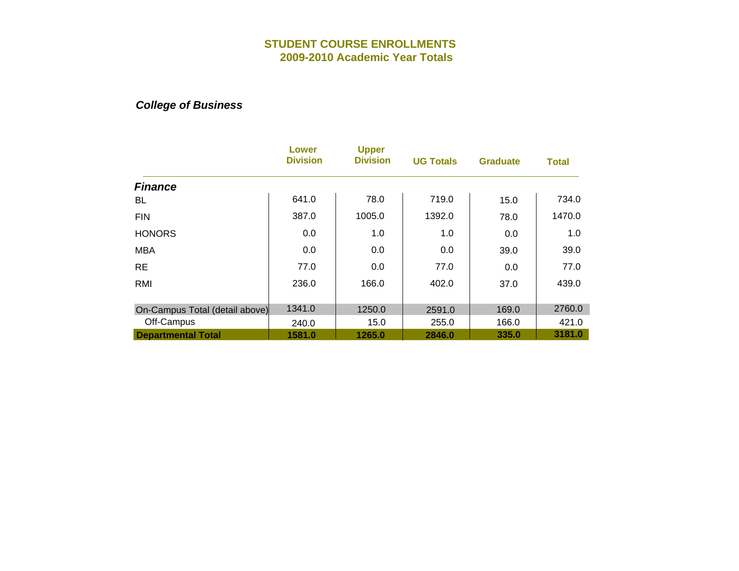|                                | Lower<br><b>Division</b> | <b>Upper</b><br><b>Division</b> | <b>UG Totals</b> | <b>Graduate</b> | <b>Total</b> |
|--------------------------------|--------------------------|---------------------------------|------------------|-----------------|--------------|
| <b>Finance</b>                 |                          |                                 |                  |                 |              |
| BL                             | 641.0                    | 78.0                            | 719.0            | 15.0            | 734.0        |
| <b>FIN</b>                     | 387.0                    | 1005.0                          | 1392.0           | 78.0            | 1470.0       |
| <b>HONORS</b>                  | 0.0                      | 1.0                             | 1.0              | 0.0             | 1.0          |
| <b>MBA</b>                     | 0.0                      | 0.0                             | 0.0              | 39.0            | 39.0         |
| <b>RE</b>                      | 77.0                     | 0.0                             | 77.0             | 0.0             | 77.0         |
| RMI                            | 236.0                    | 166.0                           | 402.0            | 37.0            | 439.0        |
| On-Campus Total (detail above) | 1341.0                   | 1250.0                          | 2591.0           | 169.0           | 2760.0       |
| Off-Campus                     | 240.0                    | 15.0                            | 255.0            | 166.0           | 421.0        |
| <b>Departmental Total</b>      | 1581.0                   | 1265.0                          | 2846.0           | 335.0           | 3181.0       |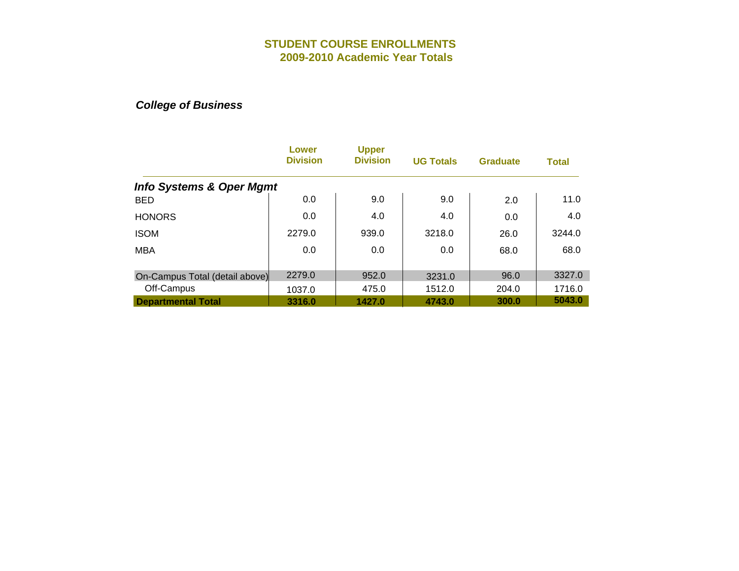|                                     | Lower<br><b>Division</b> | <b>Upper</b><br><b>Division</b> | <b>UG Totals</b> | <b>Graduate</b> | <b>Total</b> |
|-------------------------------------|--------------------------|---------------------------------|------------------|-----------------|--------------|
| <b>Info Systems &amp; Oper Mgmt</b> |                          |                                 |                  |                 |              |
| <b>BED</b>                          | 0.0                      | 9.0                             | 9.0              | 2.0             | 11.0         |
| <b>HONORS</b>                       | 0.0                      | 4.0                             | 4.0              | 0.0             | 4.0          |
| <b>ISOM</b>                         | 2279.0                   | 939.0                           | 3218.0           | 26.0            | 3244.0       |
| <b>MBA</b>                          | 0.0                      | 0.0                             | 0.0              | 68.0            | 68.0         |
|                                     |                          |                                 |                  |                 |              |
| On-Campus Total (detail above)      | 2279.0                   | 952.0                           | 3231.0           | 96.0            | 3327.0       |
| Off-Campus                          | 1037.0                   | 475.0                           | 1512.0           | 204.0           | 1716.0       |
| <b>Departmental Total</b>           | 3316.0                   | 1427.0                          | 4743.0           | 300.0           | 5043.0       |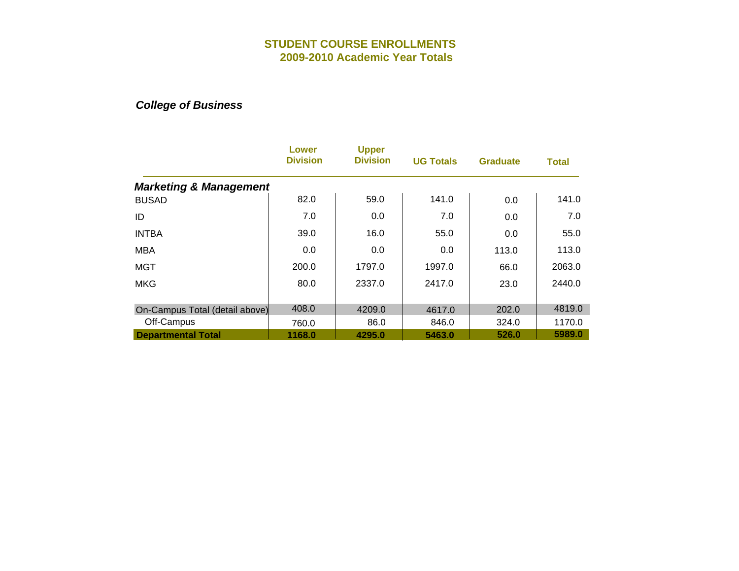|                                   | Lower<br><b>Division</b> | <b>Upper</b><br><b>Division</b> | <b>UG Totals</b> | <b>Graduate</b> | Total  |
|-----------------------------------|--------------------------|---------------------------------|------------------|-----------------|--------|
| <b>Marketing &amp; Management</b> |                          |                                 |                  |                 |        |
| <b>BUSAD</b>                      | 82.0                     | 59.0                            | 141.0            | 0.0             | 141.0  |
| ID                                | 7.0                      | 0.0                             | 7.0              | 0.0             | 7.0    |
| <b>INTBA</b>                      | 39.0                     | 16.0                            | 55.0             | 0.0             | 55.0   |
| <b>MBA</b>                        | 0.0                      | 0.0                             | 0.0              | 113.0           | 113.0  |
| <b>MGT</b>                        | 200.0                    | 1797.0                          | 1997.0           | 66.0            | 2063.0 |
| <b>MKG</b>                        | 80.0                     | 2337.0                          | 2417.0           | 23.0            | 2440.0 |
| On-Campus Total (detail above)    | 408.0                    | 4209.0                          | 4617.0           | 202.0           | 4819.0 |
| Off-Campus                        | 760.0                    | 86.0                            | 846.0            | 324.0           | 1170.0 |
| <b>Departmental Total</b>         | 1168.0                   | 4295.0                          | 5463.0           | 526.0           | 5989.0 |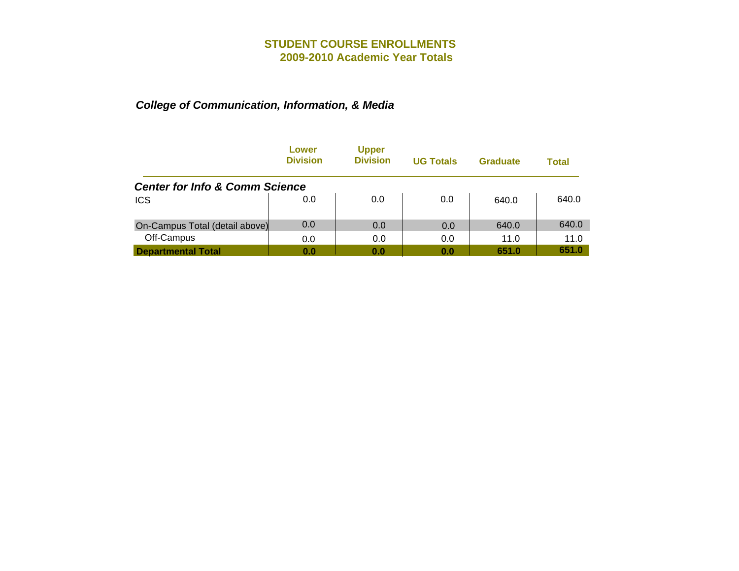|                                           | Lower<br><b>Division</b> | <b>Upper</b><br><b>Division</b> | <b>UG Totals</b> | <b>Graduate</b> | Total |
|-------------------------------------------|--------------------------|---------------------------------|------------------|-----------------|-------|
| <b>Center for Info &amp; Comm Science</b> |                          |                                 |                  |                 |       |
| <b>ICS</b>                                | 0.0                      | 0.0                             | 0.0              | 640.0           | 640.0 |
| On-Campus Total (detail above)            | 0.0                      | 0.0                             | 0.0              | 640.0           | 640.0 |
| Off-Campus                                | 0.0                      | 0.0                             | 0.0              | 11.0            | 11.0  |
| <b>Departmental Total</b>                 | 0.0                      | 0.0                             | 0.0              | 651.0           | 651.0 |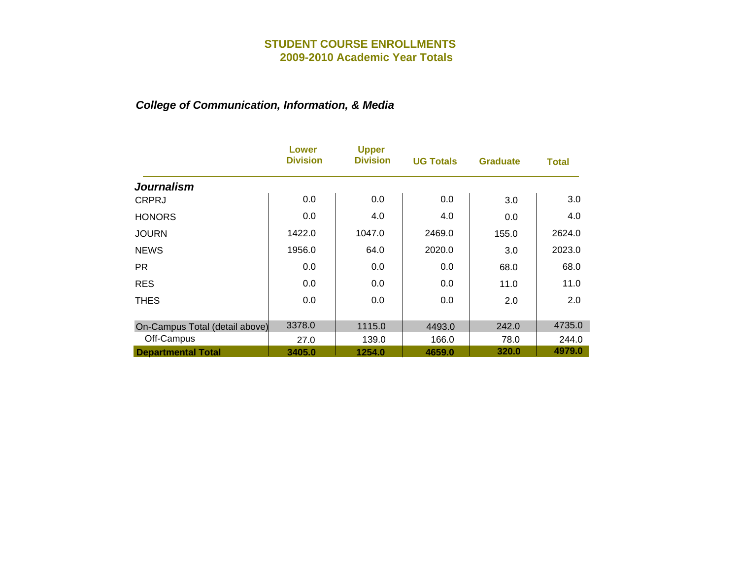|                                | Lower<br><b>Division</b> | <b>Upper</b><br><b>Division</b> | <b>UG Totals</b> | <b>Graduate</b> | Total  |
|--------------------------------|--------------------------|---------------------------------|------------------|-----------------|--------|
| <b>Journalism</b>              |                          |                                 |                  |                 |        |
| <b>CRPRJ</b>                   | 0.0                      | 0.0                             | 0.0              | 3.0             | 3.0    |
| <b>HONORS</b>                  | 0.0                      | 4.0                             | 4.0              | 0.0             | 4.0    |
| <b>JOURN</b>                   | 1422.0                   | 1047.0                          | 2469.0           | 155.0           | 2624.0 |
| <b>NEWS</b>                    | 1956.0                   | 64.0                            | 2020.0           | 3.0             | 2023.0 |
| <b>PR</b>                      | 0.0                      | 0.0                             | 0.0              | 68.0            | 68.0   |
| <b>RES</b>                     | 0.0                      | 0.0                             | 0.0              | 11.0            | 11.0   |
| <b>THES</b>                    | 0.0                      | 0.0                             | 0.0              | 2.0             | 2.0    |
| On-Campus Total (detail above) | 3378.0                   | 1115.0                          | 4493.0           | 242.0           | 4735.0 |
| Off-Campus                     | 27.0                     | 139.0                           | 166.0            | 78.0            | 244.0  |
| <b>Departmental Total</b>      | 3405.0                   | 1254.0                          | 4659.0           | 320.0           | 4979.0 |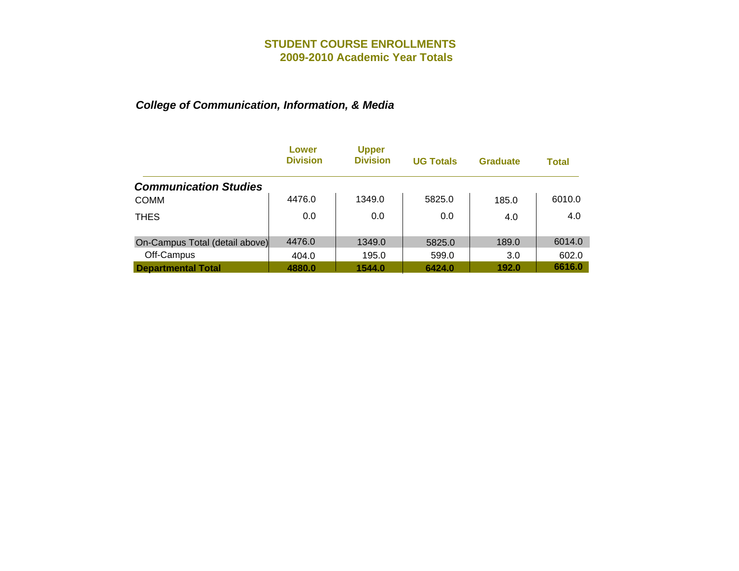|                                | Lower<br><b>Division</b> | <b>Upper</b><br><b>Division</b> | <b>UG Totals</b> | <b>Graduate</b> | Total  |
|--------------------------------|--------------------------|---------------------------------|------------------|-----------------|--------|
| <b>Communication Studies</b>   |                          |                                 |                  |                 |        |
| <b>COMM</b>                    | 4476.0                   | 1349.0                          | 5825.0           | 185.0           | 6010.0 |
| <b>THES</b>                    | 0.0                      | 0.0                             | 0.0              | 4.0             | 4.0    |
| On-Campus Total (detail above) | 4476.0                   | 1349.0                          | 5825.0           | 189.0           | 6014.0 |
| Off-Campus                     | 404.0                    | 195.0                           | 599.0            | 3.0             | 602.0  |
| <b>Departmental Total</b>      | 4880.0                   | 1544.0                          | 6424.0           | 192.0           | 6616.0 |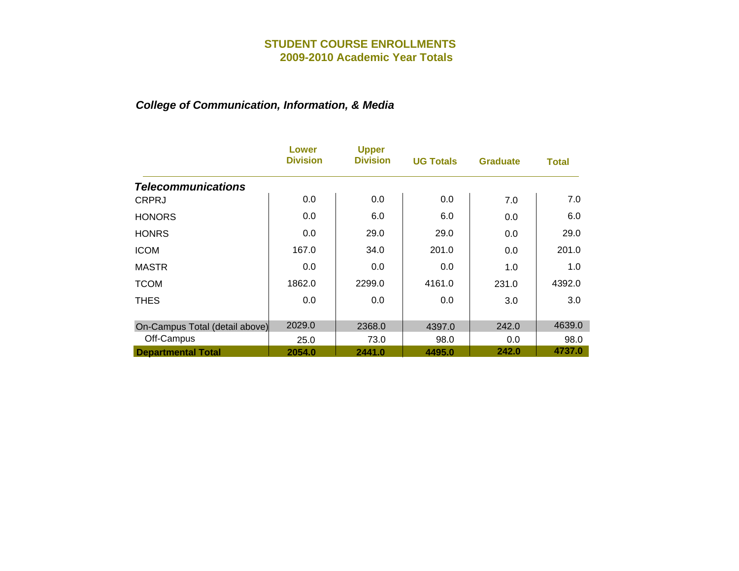|                                | Lower<br><b>Division</b> | <b>Upper</b><br><b>Division</b> | <b>UG Totals</b> | <b>Graduate</b> | Total  |
|--------------------------------|--------------------------|---------------------------------|------------------|-----------------|--------|
| <b>Telecommunications</b>      |                          |                                 |                  |                 |        |
| <b>CRPRJ</b>                   | 0.0                      | 0.0                             | 0.0              | 7.0             | 7.0    |
| <b>HONORS</b>                  | 0.0                      | 6.0                             | 6.0              | 0.0             | 6.0    |
| <b>HONRS</b>                   | 0.0                      | 29.0                            | 29.0             | 0.0             | 29.0   |
| <b>ICOM</b>                    | 167.0                    | 34.0                            | 201.0            | 0.0             | 201.0  |
| <b>MASTR</b>                   | 0.0                      | 0.0                             | 0.0              | 1.0             | 1.0    |
| <b>TCOM</b>                    | 1862.0                   | 2299.0                          | 4161.0           | 231.0           | 4392.0 |
| <b>THES</b>                    | 0.0                      | 0.0                             | 0.0              | 3.0             | 3.0    |
| On-Campus Total (detail above) | 2029.0                   | 2368.0                          | 4397.0           | 242.0           | 4639.0 |
| Off-Campus                     | 25.0                     | 73.0                            | 98.0             | 0.0             | 98.0   |
| <b>Departmental Total</b>      | 2054.0                   | 2441.0                          | 4495.0           | 242.0           | 4737.0 |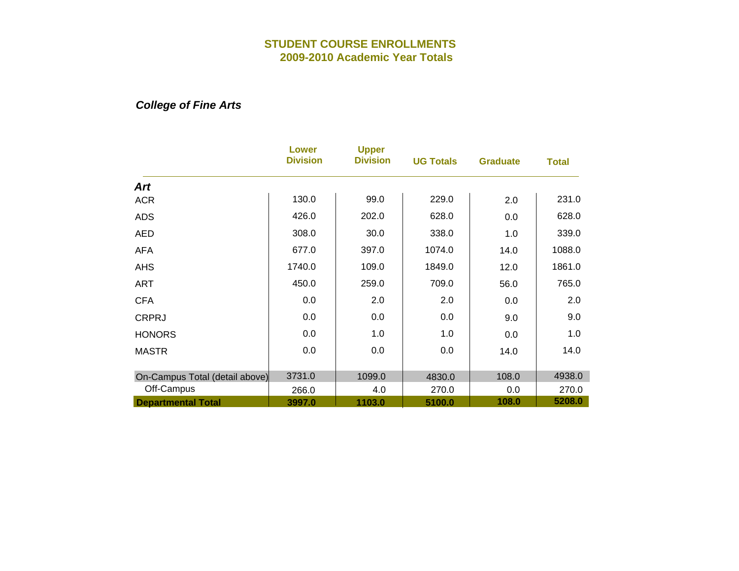## *College of Fine Arts*

|                                | <b>Lower</b><br><b>Division</b> | <b>Upper</b><br><b>Division</b> | <b>UG Totals</b> | <b>Graduate</b> | <b>Total</b> |
|--------------------------------|---------------------------------|---------------------------------|------------------|-----------------|--------------|
| <b>Art</b>                     |                                 |                                 |                  |                 |              |
| <b>ACR</b>                     | 130.0                           | 99.0                            | 229.0            | 2.0             | 231.0        |
| <b>ADS</b>                     | 426.0                           | 202.0                           | 628.0            | 0.0             | 628.0        |
| <b>AED</b>                     | 308.0                           | 30.0                            | 338.0            | 1.0             | 339.0        |
| <b>AFA</b>                     | 677.0                           | 397.0                           | 1074.0           | 14.0            | 1088.0       |
| <b>AHS</b>                     | 1740.0                          | 109.0                           | 1849.0           | 12.0            | 1861.0       |
| <b>ART</b>                     | 450.0                           | 259.0                           | 709.0            | 56.0            | 765.0        |
| <b>CFA</b>                     | 0.0                             | 2.0                             | 2.0              | 0.0             | 2.0          |
| <b>CRPRJ</b>                   | 0.0                             | 0.0                             | 0.0              | 9.0             | 9.0          |
| <b>HONORS</b>                  | 0.0                             | 1.0                             | 1.0              | 0.0             | 1.0          |
| <b>MASTR</b>                   | 0.0                             | 0.0                             | 0.0              | 14.0            | 14.0         |
| On-Campus Total (detail above) | 3731.0                          | 1099.0                          | 4830.0           | 108.0           | 4938.0       |
| Off-Campus                     | 266.0                           | 4.0                             | 270.0            | 0.0             | 270.0        |
| <b>Departmental Total</b>      | 3997.0                          | 1103.0                          | 5100.0           | 108.0           | 5208.0       |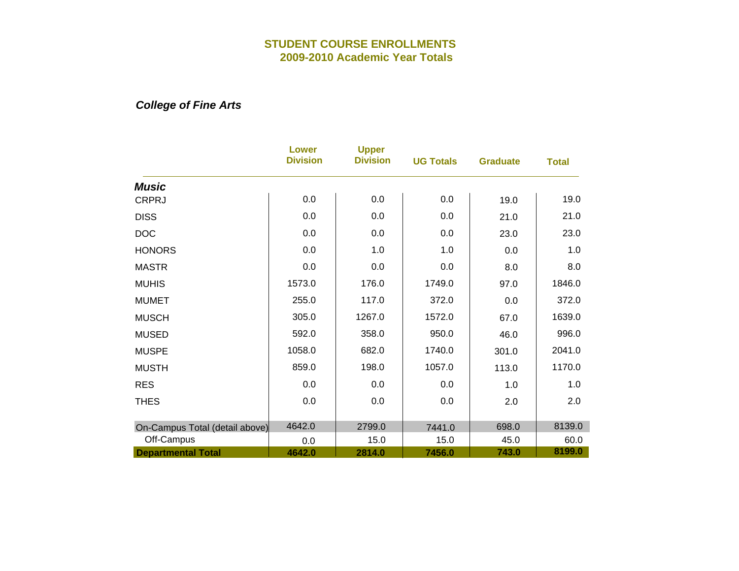*College of Fine Arts*

|                                | <b>Lower</b><br><b>Division</b> | <b>Upper</b><br><b>Division</b> | <b>UG Totals</b> | <b>Graduate</b> | <b>Total</b> |
|--------------------------------|---------------------------------|---------------------------------|------------------|-----------------|--------------|
| <b>Music</b>                   |                                 |                                 |                  |                 |              |
| <b>CRPRJ</b>                   | 0.0                             | 0.0                             | 0.0              | 19.0            | 19.0         |
| <b>DISS</b>                    | 0.0                             | 0.0                             | 0.0              | 21.0            | 21.0         |
| <b>DOC</b>                     | 0.0                             | 0.0                             | 0.0              | 23.0            | 23.0         |
| <b>HONORS</b>                  | 0.0                             | 1.0                             | 1.0              | 0.0             | 1.0          |
| <b>MASTR</b>                   | 0.0                             | 0.0                             | 0.0              | 8.0             | 8.0          |
| <b>MUHIS</b>                   | 1573.0                          | 176.0                           | 1749.0           | 97.0            | 1846.0       |
| <b>MUMET</b>                   | 255.0                           | 117.0                           | 372.0            | 0.0             | 372.0        |
| <b>MUSCH</b>                   | 305.0                           | 1267.0                          | 1572.0           | 67.0            | 1639.0       |
| <b>MUSED</b>                   | 592.0                           | 358.0                           | 950.0            | 46.0            | 996.0        |
| <b>MUSPE</b>                   | 1058.0                          | 682.0                           | 1740.0           | 301.0           | 2041.0       |
| <b>MUSTH</b>                   | 859.0                           | 198.0                           | 1057.0           | 113.0           | 1170.0       |
| <b>RES</b>                     | 0.0                             | 0.0                             | 0.0              | 1.0             | 1.0          |
| <b>THES</b>                    | 0.0                             | 0.0                             | 0.0              | 2.0             | 2.0          |
|                                |                                 |                                 |                  |                 |              |
| On-Campus Total (detail above) | 4642.0                          | 2799.0                          | 7441.0           | 698.0           | 8139.0       |
| Off-Campus                     | 0.0                             | 15.0                            | 15.0             | 45.0            | 60.0         |
| <b>Departmental Total</b>      | 4642.0                          | 2814.0                          | 7456.0           | 743.0           | 8199.0       |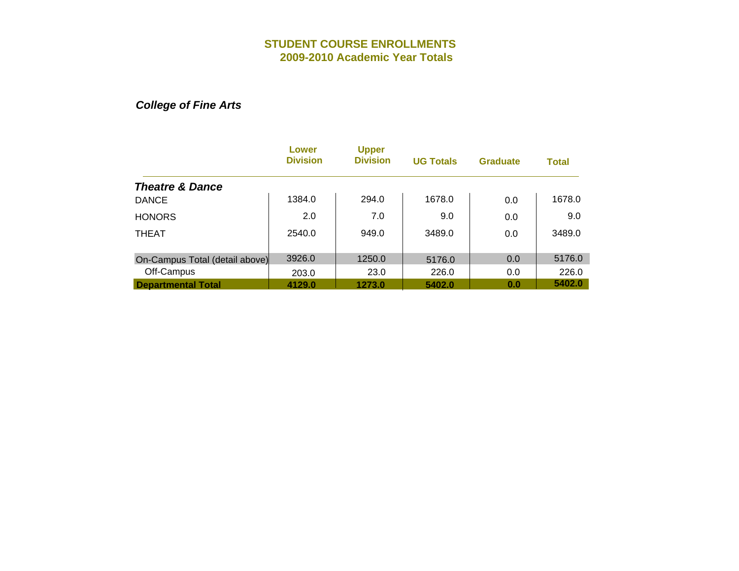*College of Fine Arts*

|                                | Lower<br><b>Division</b> | <b>Upper</b><br><b>Division</b> | <b>UG Totals</b> | <b>Graduate</b> | <b>Total</b> |
|--------------------------------|--------------------------|---------------------------------|------------------|-----------------|--------------|
| <b>Theatre &amp; Dance</b>     |                          |                                 |                  |                 |              |
| <b>DANCE</b>                   | 1384.0                   | 294.0                           | 1678.0           | 0.0             | 1678.0       |
| <b>HONORS</b>                  | 2.0                      | 7.0                             | 9.0              | 0.0             | 9.0          |
| <b>THEAT</b>                   | 2540.0                   | 949.0                           | 3489.0           | 0.0             | 3489.0       |
| On-Campus Total (detail above) | 3926.0                   | 1250.0                          | 5176.0           | 0.0             | 5176.0       |
| Off-Campus                     | 203.0                    | 23.0                            | 226.0            | 0.0             | 226.0        |
| <b>Departmental Total</b>      | 4129.0                   | 1273.0                          | 5402.0           | 0.0             | 5402.0       |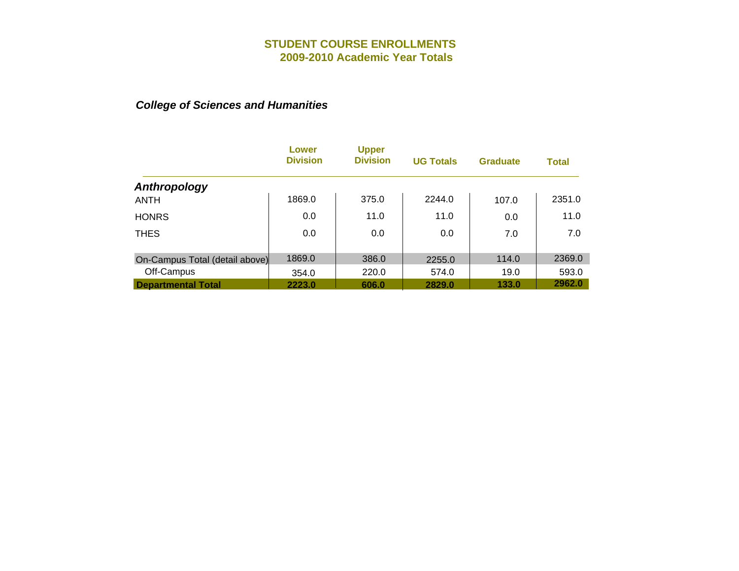|                                | Lower<br><b>Division</b> | <b>Upper</b><br><b>Division</b> | <b>UG Totals</b> | <b>Graduate</b> | <b>Total</b> |
|--------------------------------|--------------------------|---------------------------------|------------------|-----------------|--------------|
| Anthropology                   |                          |                                 |                  |                 |              |
| <b>ANTH</b>                    | 1869.0                   | 375.0                           | 2244.0           | 107.0           | 2351.0       |
| <b>HONRS</b>                   | 0.0                      | 11.0                            | 11.0             | 0.0             | 11.0         |
| <b>THES</b>                    | 0.0                      | 0.0                             | 0.0              | 7.0             | 7.0          |
|                                |                          |                                 |                  |                 |              |
| On-Campus Total (detail above) | 1869.0                   | 386.0                           | 2255.0           | 114.0           | 2369.0       |
| Off-Campus                     | 354.0                    | 220.0                           | 574.0            | 19.0            | 593.0        |
| <b>Departmental Total</b>      | 2223.0                   | 606.0                           | 2829.0           | 133.0           | 2962.0       |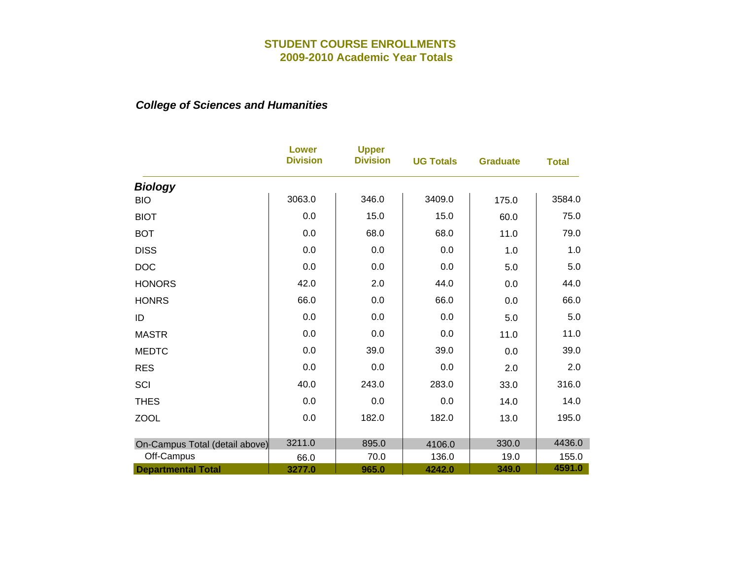|                                | <b>Lower</b><br><b>Division</b> | <b>Upper</b><br><b>Division</b> | <b>UG Totals</b> | <b>Graduate</b> | <b>Total</b> |
|--------------------------------|---------------------------------|---------------------------------|------------------|-----------------|--------------|
| <b>Biology</b>                 |                                 |                                 |                  |                 |              |
| <b>BIO</b>                     | 3063.0                          | 346.0                           | 3409.0           | 175.0           | 3584.0       |
| <b>BIOT</b>                    | 0.0                             | 15.0                            | 15.0             | 60.0            | 75.0         |
| <b>BOT</b>                     | 0.0                             | 68.0                            | 68.0             | 11.0            | 79.0         |
| <b>DISS</b>                    | 0.0                             | 0.0                             | 0.0              | 1.0             | 1.0          |
| <b>DOC</b>                     | 0.0                             | 0.0                             | 0.0              | 5.0             | 5.0          |
| <b>HONORS</b>                  | 42.0                            | 2.0                             | 44.0             | 0.0             | 44.0         |
| <b>HONRS</b>                   | 66.0                            | 0.0                             | 66.0             | 0.0             | 66.0         |
| ID                             | 0.0                             | 0.0                             | 0.0              | 5.0             | 5.0          |
| <b>MASTR</b>                   | 0.0                             | 0.0                             | 0.0              | 11.0            | 11.0         |
| <b>MEDTC</b>                   | 0.0                             | 39.0                            | 39.0             | 0.0             | 39.0         |
| <b>RES</b>                     | 0.0                             | 0.0                             | 0.0              | 2.0             | 2.0          |
| SCI                            | 40.0                            | 243.0                           | 283.0            | 33.0            | 316.0        |
| <b>THES</b>                    | 0.0                             | 0.0                             | 0.0              | 14.0            | 14.0         |
| <b>ZOOL</b>                    | 0.0                             | 182.0                           | 182.0            | 13.0            | 195.0        |
| On-Campus Total (detail above) | 3211.0                          | 895.0                           | 4106.0           | 330.0           | 4436.0       |
| Off-Campus                     | 66.0                            | 70.0                            | 136.0            | 19.0            | 155.0        |
| <b>Departmental Total</b>      | 3277.0                          | 965.0                           | 4242.0           | 349.0           | 4591.0       |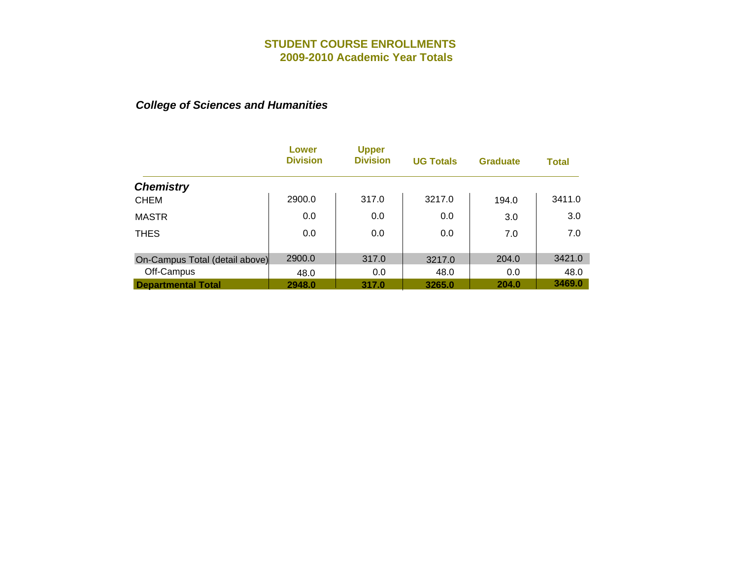|                                | Lower<br><b>Division</b> | <b>Upper</b><br><b>Division</b> | <b>UG Totals</b> | <b>Graduate</b> | <b>Total</b> |
|--------------------------------|--------------------------|---------------------------------|------------------|-----------------|--------------|
| <b>Chemistry</b>               |                          |                                 |                  |                 |              |
| <b>CHEM</b>                    | 2900.0                   | 317.0                           | 3217.0           | 194.0           | 3411.0       |
| <b>MASTR</b>                   | 0.0                      | 0.0                             | 0.0              | 3.0             | 3.0          |
| <b>THES</b>                    | 0.0                      | 0.0                             | 0.0              | 7.0             | 7.0          |
|                                |                          |                                 |                  |                 |              |
| On-Campus Total (detail above) | 2900.0                   | 317.0                           | 3217.0           | 204.0           | 3421.0       |
| Off-Campus                     | 48.0                     | 0.0                             | 48.0             | 0.0             | 48.0         |
| <b>Departmental Total</b>      | 2948.0                   | 317.0                           | 3265.0           | 204.0           | 3469.0       |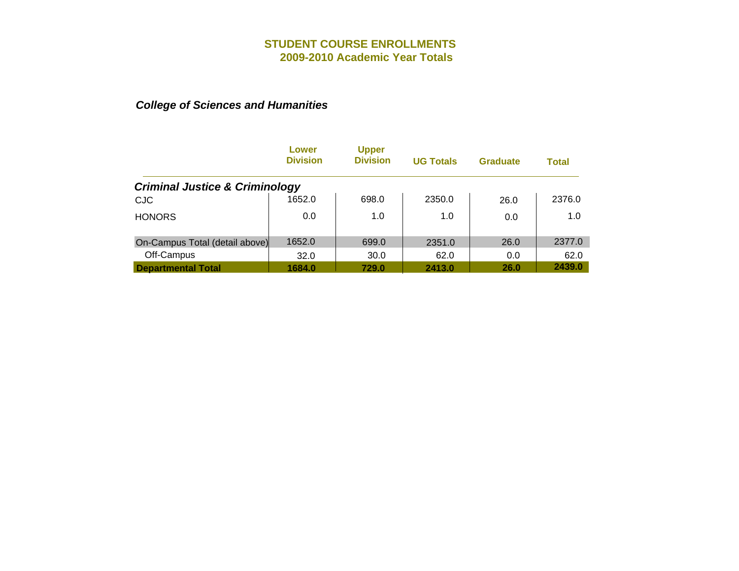|                                           | Lower<br><b>Division</b> | <b>Upper</b><br><b>Division</b> | <b>UG Totals</b> | <b>Graduate</b> | Total  |
|-------------------------------------------|--------------------------|---------------------------------|------------------|-----------------|--------|
| <b>Criminal Justice &amp; Criminology</b> |                          |                                 |                  |                 |        |
| <b>CJC</b>                                | 1652.0                   | 698.0                           | 2350.0           | 26.0            | 2376.0 |
| <b>HONORS</b>                             | 0.0                      | 1.0                             | 1.0              | 0.0             | 1.0    |
| On-Campus Total (detail above)            | 1652.0                   | 699.0                           | 2351.0           | 26.0            | 2377.0 |
| Off-Campus                                | 32.0                     | 30.0                            | 62.0             | 0.0             | 62.0   |
| <b>Departmental Total</b>                 | 1684.0                   | 729.0                           | 2413.0           | 26.0            | 2439.0 |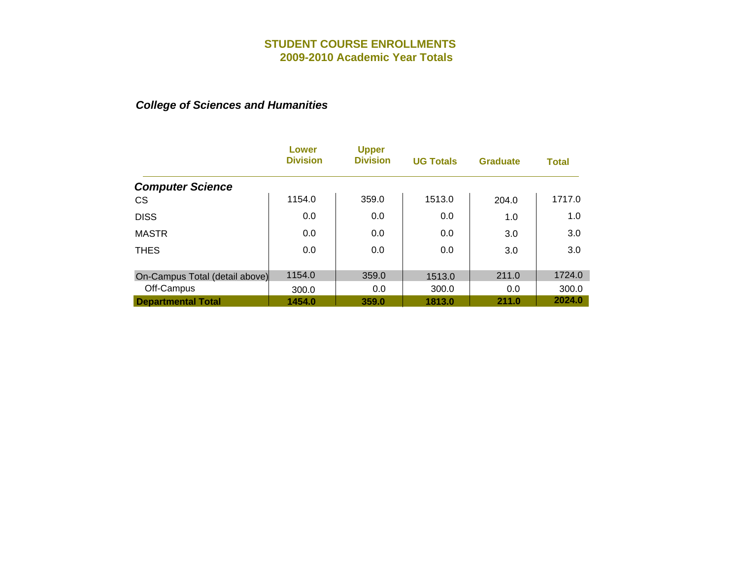|                                | Lower<br><b>Division</b> | <b>Upper</b><br><b>Division</b> | <b>UG Totals</b> | <b>Graduate</b> | <b>Total</b> |
|--------------------------------|--------------------------|---------------------------------|------------------|-----------------|--------------|
| <b>Computer Science</b>        |                          |                                 |                  |                 |              |
| <b>CS</b>                      | 1154.0                   | 359.0                           | 1513.0           | 204.0           | 1717.0       |
| <b>DISS</b>                    | 0.0                      | 0.0                             | 0.0              | 1.0             | 1.0          |
| <b>MASTR</b>                   | 0.0                      | 0.0                             | 0.0              | 3.0             | 3.0          |
| <b>THES</b>                    | 0.0                      | 0.0                             | 0.0              | 3.0             | 3.0          |
|                                |                          |                                 |                  |                 |              |
| On-Campus Total (detail above) | 1154.0                   | 359.0                           | 1513.0           | 211.0           | 1724.0       |
| Off-Campus                     | 300.0                    | 0.0                             | 300.0            | 0.0             | 300.0        |
| <b>Departmental Total</b>      | 1454.0                   | 359.0                           | 1813.0           | 211.0           | 2024.0       |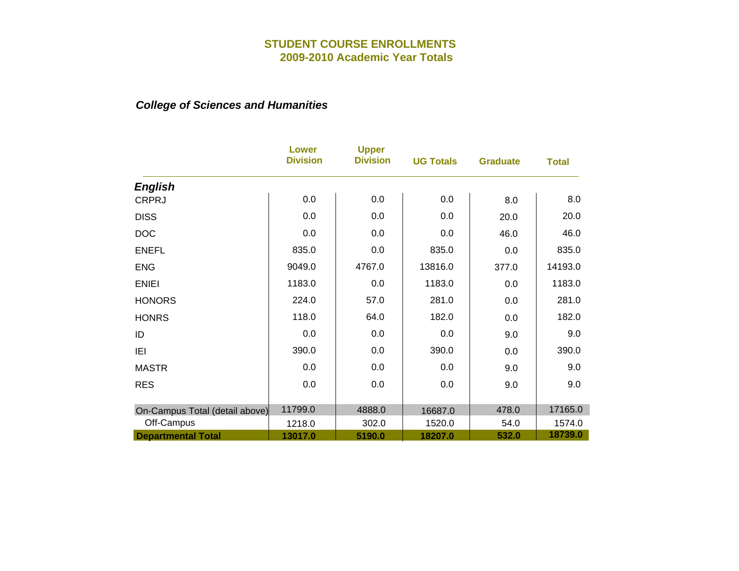|                                | <b>Lower</b><br><b>Division</b> | <b>Upper</b><br><b>Division</b> | <b>UG Totals</b> | <b>Graduate</b> | <b>Total</b> |
|--------------------------------|---------------------------------|---------------------------------|------------------|-----------------|--------------|
| <b>English</b>                 |                                 |                                 |                  |                 |              |
| <b>CRPRJ</b>                   | 0.0                             | 0.0                             | 0.0              | 8.0             | 8.0          |
| <b>DISS</b>                    | 0.0                             | 0.0                             | 0.0              | 20.0            | 20.0         |
| <b>DOC</b>                     | 0.0                             | 0.0                             | 0.0              | 46.0            | 46.0         |
| <b>ENEFL</b>                   | 835.0                           | 0.0                             | 835.0            | 0.0             | 835.0        |
| <b>ENG</b>                     | 9049.0                          | 4767.0                          | 13816.0          | 377.0           | 14193.0      |
| <b>ENIEI</b>                   | 1183.0                          | 0.0                             | 1183.0           | 0.0             | 1183.0       |
| <b>HONORS</b>                  | 224.0                           | 57.0                            | 281.0            | 0.0             | 281.0        |
| <b>HONRS</b>                   | 118.0                           | 64.0                            | 182.0            | 0.0             | 182.0        |
| ID                             | 0.0                             | 0.0                             | 0.0              | 9.0             | 9.0          |
| IEI                            | 390.0                           | 0.0                             | 390.0            | 0.0             | 390.0        |
| <b>MASTR</b>                   | 0.0                             | 0.0                             | 0.0              | 9.0             | 9.0          |
| <b>RES</b>                     | 0.0                             | 0.0                             | 0.0              | 9.0             | 9.0          |
|                                |                                 |                                 |                  |                 |              |
| On-Campus Total (detail above) | 11799.0                         | 4888.0                          | 16687.0          | 478.0           | 17165.0      |
| Off-Campus                     | 1218.0                          | 302.0                           | 1520.0           | 54.0            | 1574.0       |
| <b>Departmental Total</b>      | 13017.0                         | 5190.0                          | 18207.0          | 532.0           | 18739.0      |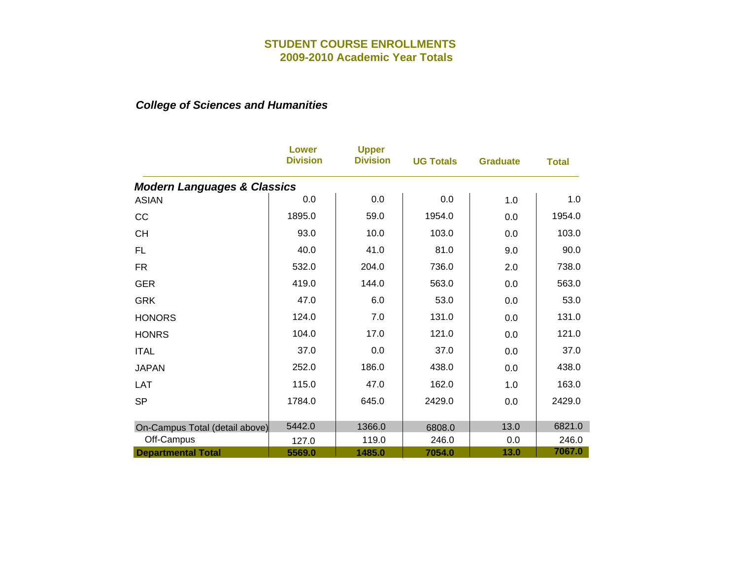|                                        | <b>Lower</b><br><b>Division</b> | <b>Upper</b><br><b>Division</b> | <b>UG Totals</b> | <b>Graduate</b> | <b>Total</b> |
|----------------------------------------|---------------------------------|---------------------------------|------------------|-----------------|--------------|
| <b>Modern Languages &amp; Classics</b> |                                 |                                 |                  |                 |              |
| <b>ASIAN</b>                           | 0.0                             | 0.0                             | 0.0              | 1.0             | 1.0          |
| CC                                     | 1895.0                          | 59.0                            | 1954.0           | 0.0             | 1954.0       |
| <b>CH</b>                              | 93.0                            | 10.0                            | 103.0            | 0.0             | 103.0        |
| <b>FL</b>                              | 40.0                            | 41.0                            | 81.0             | 9.0             | 90.0         |
| <b>FR</b>                              | 532.0                           | 204.0                           | 736.0            | 2.0             | 738.0        |
| <b>GER</b>                             | 419.0                           | 144.0                           | 563.0            | 0.0             | 563.0        |
| <b>GRK</b>                             | 47.0                            | 6.0                             | 53.0             | 0.0             | 53.0         |
| <b>HONORS</b>                          | 124.0                           | 7.0                             | 131.0            | 0.0             | 131.0        |
| <b>HONRS</b>                           | 104.0                           | 17.0                            | 121.0            | 0.0             | 121.0        |
| <b>ITAL</b>                            | 37.0                            | 0.0                             | 37.0             | 0.0             | 37.0         |
| <b>JAPAN</b>                           | 252.0                           | 186.0                           | 438.0            | 0.0             | 438.0        |
| <b>LAT</b>                             | 115.0                           | 47.0                            | 162.0            | 1.0             | 163.0        |
| <b>SP</b>                              | 1784.0                          | 645.0                           | 2429.0           | 0.0             | 2429.0       |
|                                        |                                 |                                 |                  |                 |              |
| On-Campus Total (detail above)         | 5442.0                          | 1366.0                          | 6808.0           | 13.0            | 6821.0       |
| Off-Campus                             | 127.0                           | 119.0                           | 246.0            | 0.0             | 246.0        |
| <b>Departmental Total</b>              | 5569.0                          | 1485.0                          | 7054.0           | 13.0            | 7067.0       |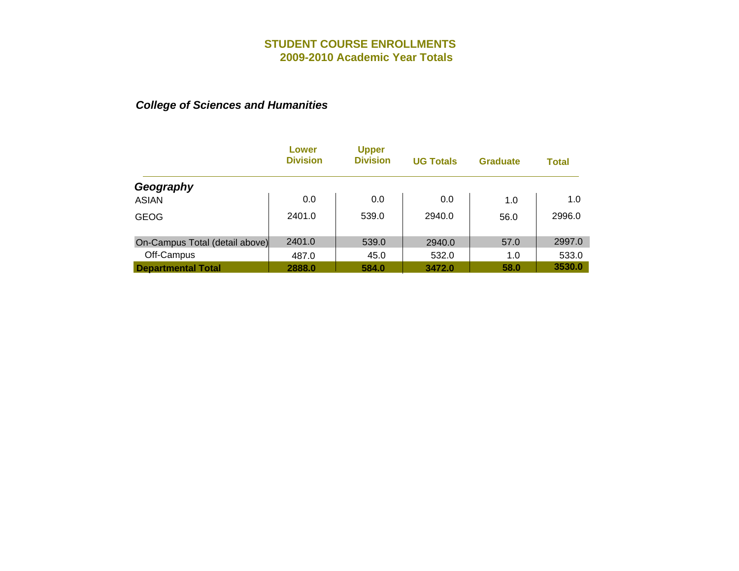|                                | Lower<br><b>Division</b> | <b>Upper</b><br><b>Division</b> | <b>UG Totals</b> | <b>Graduate</b> | <b>Total</b> |
|--------------------------------|--------------------------|---------------------------------|------------------|-----------------|--------------|
| Geography                      |                          |                                 |                  |                 |              |
| <b>ASIAN</b>                   | 0.0                      | 0.0                             | 0.0              | 1.0             | 1.0          |
| <b>GEOG</b>                    | 2401.0                   | 539.0                           | 2940.0           | 56.0            | 2996.0       |
| On-Campus Total (detail above) | 2401.0                   | 539.0                           | 2940.0           | 57.0            | 2997.0       |
| Off-Campus                     | 487.0                    | 45.0                            | 532.0            | 1.0             | 533.0        |
| <b>Departmental Total</b>      | 2888.0                   | 584.0                           | 3472.0           | 58.0            | 3530.0       |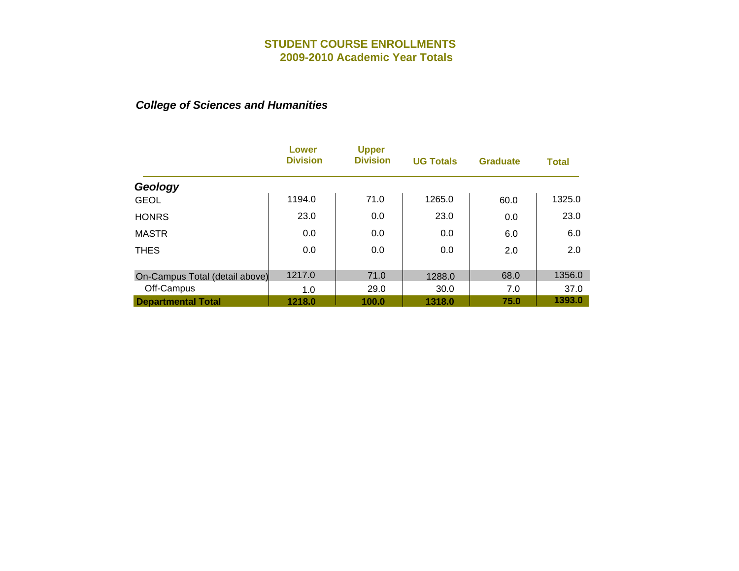|                                | Lower<br><b>Division</b> | <b>Upper</b><br><b>Division</b> | <b>UG Totals</b> | <b>Graduate</b> | <b>Total</b> |
|--------------------------------|--------------------------|---------------------------------|------------------|-----------------|--------------|
| Geology                        |                          |                                 |                  |                 |              |
| <b>GEOL</b>                    | 1194.0                   | 71.0                            | 1265.0           | 60.0            | 1325.0       |
| <b>HONRS</b>                   | 23.0                     | 0.0                             | 23.0             | 0.0             | 23.0         |
| <b>MASTR</b>                   | 0.0                      | 0.0                             | 0.0              | 6.0             | 6.0          |
| <b>THES</b>                    | 0.0                      | 0.0                             | 0.0              | 2.0             | 2.0          |
|                                |                          |                                 |                  |                 |              |
| On-Campus Total (detail above) | 1217.0                   | 71.0                            | 1288.0           | 68.0            | 1356.0       |
| Off-Campus                     | 1.0                      | 29.0                            | 30.0             | 7.0             | 37.0         |
| <b>Departmental Total</b>      | 1218.0                   | 100.0                           | 1318.0           | 75.0            | 1393.0       |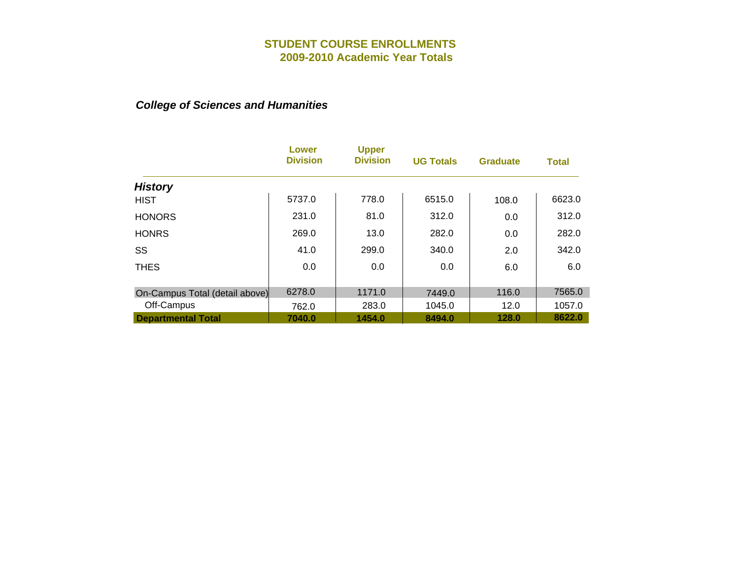|                                | Lower<br><b>Division</b> | <b>Upper</b><br><b>Division</b> | <b>UG Totals</b> | <b>Graduate</b> | <b>Total</b> |
|--------------------------------|--------------------------|---------------------------------|------------------|-----------------|--------------|
| <b>History</b>                 |                          |                                 |                  |                 |              |
| <b>HIST</b>                    | 5737.0                   | 778.0                           | 6515.0           | 108.0           | 6623.0       |
| <b>HONORS</b>                  | 231.0                    | 81.0                            | 312.0            | 0.0             | 312.0        |
| <b>HONRS</b>                   | 269.0                    | 13.0                            | 282.0            | 0.0             | 282.0        |
| SS                             | 41.0                     | 299.0                           | 340.0            | 2.0             | 342.0        |
| <b>THES</b>                    | 0.0                      | 0.0                             | 0.0              | 6.0             | 6.0          |
| On-Campus Total (detail above) | 6278.0                   | 1171.0                          | 7449.0           | 116.0           | 7565.0       |
| Off-Campus                     | 762.0                    | 283.0                           | 1045.0           | 12.0            | 1057.0       |
| <b>Departmental Total</b>      | 7040.0                   | 1454.0                          | 8494.0           | 128.0           | 8622.0       |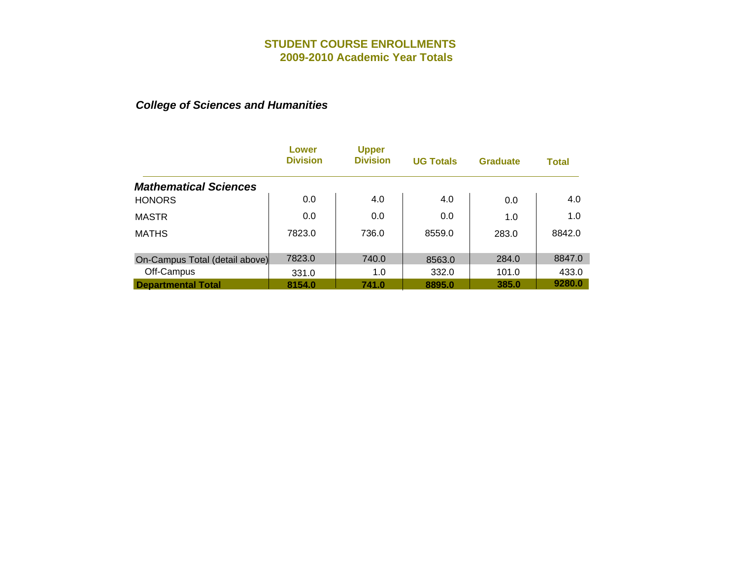|                                | Lower<br><b>Division</b> | <b>Upper</b><br><b>Division</b> | <b>UG Totals</b> | <b>Graduate</b> | <b>Total</b> |
|--------------------------------|--------------------------|---------------------------------|------------------|-----------------|--------------|
| <b>Mathematical Sciences</b>   |                          |                                 |                  |                 |              |
| <b>HONORS</b>                  | 0.0                      | 4.0                             | 4.0              | 0.0             | 4.0          |
| <b>MASTR</b>                   | 0.0                      | 0.0                             | 0.0              | 1.0             | 1.0          |
| <b>MATHS</b>                   | 7823.0                   | 736.0                           | 8559.0           | 283.0           | 8842.0       |
| On-Campus Total (detail above) | 7823.0                   | 740.0                           | 8563.0           | 284.0           | 8847.0       |
| Off-Campus                     | 331.0                    | 1.0                             | 332.0            | 101.0           | 433.0        |
| <b>Departmental Total</b>      | 8154.0                   | 741.0                           | 8895.0           | 385.0           | 9280.0       |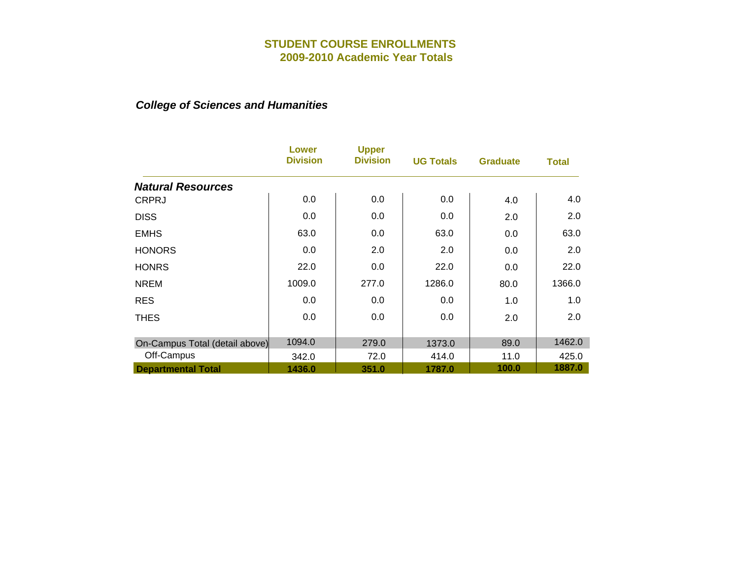|                                | Lower<br><b>Division</b> | <b>Upper</b><br><b>Division</b> | <b>UG Totals</b> | <b>Graduate</b> | <b>Total</b> |
|--------------------------------|--------------------------|---------------------------------|------------------|-----------------|--------------|
| <b>Natural Resources</b>       |                          |                                 |                  |                 |              |
| <b>CRPRJ</b>                   | 0.0                      | 0.0                             | 0.0              | 4.0             | 4.0          |
| <b>DISS</b>                    | 0.0                      | 0.0                             | 0.0              | 2.0             | 2.0          |
| <b>EMHS</b>                    | 63.0                     | 0.0                             | 63.0             | 0.0             | 63.0         |
| <b>HONORS</b>                  | 0.0                      | 2.0                             | 2.0              | 0.0             | 2.0          |
| <b>HONRS</b>                   | 22.0                     | 0.0                             | 22.0             | 0.0             | 22.0         |
| <b>NREM</b>                    | 1009.0                   | 277.0                           | 1286.0           | 80.0            | 1366.0       |
| <b>RES</b>                     | 0.0                      | 0.0                             | 0.0              | 1.0             | 1.0          |
| <b>THES</b>                    | 0.0                      | 0.0                             | 0.0              | 2.0             | 2.0          |
| On-Campus Total (detail above) | 1094.0                   | 279.0                           | 1373.0           | 89.0            | 1462.0       |
| Off-Campus                     | 342.0                    | 72.0                            | 414.0            | 11.0            | 425.0        |
| <b>Departmental Total</b>      | 1436.0                   | 351.0                           | 1787.0           | 100.0           | 1887.0       |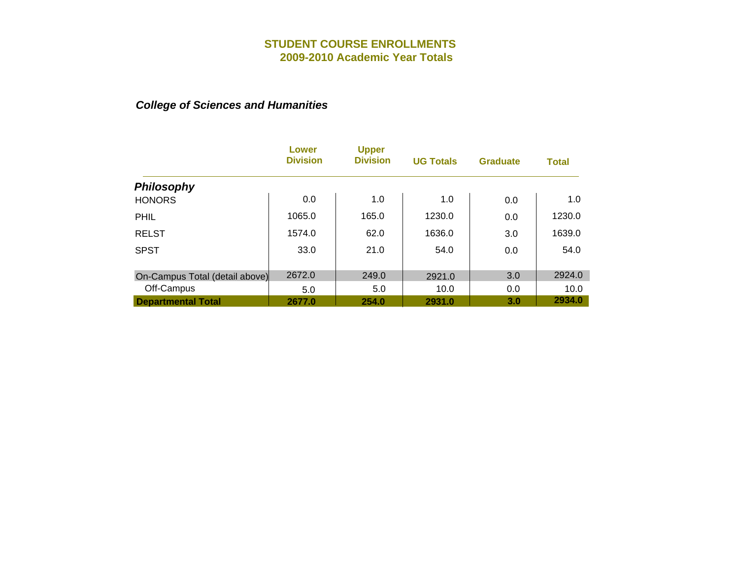|                                | <b>Lower</b><br><b>Division</b> | <b>Upper</b><br><b>Division</b> | <b>UG Totals</b> | <b>Graduate</b> | <b>Total</b> |
|--------------------------------|---------------------------------|---------------------------------|------------------|-----------------|--------------|
| <b>Philosophy</b>              |                                 |                                 |                  |                 |              |
| <b>HONORS</b>                  | 0.0                             | 1.0                             | 1.0              | 0.0             | 1.0          |
| <b>PHIL</b>                    | 1065.0                          | 165.0                           | 1230.0           | 0.0             | 1230.0       |
| <b>RELST</b>                   | 1574.0                          | 62.0                            | 1636.0           | 3.0             | 1639.0       |
| <b>SPST</b>                    | 33.0                            | 21.0                            | 54.0             | 0.0             | 54.0         |
|                                |                                 |                                 |                  |                 |              |
| On-Campus Total (detail above) | 2672.0                          | 249.0                           | 2921.0           | 3.0             | 2924.0       |
| Off-Campus                     | 5.0                             | 5.0                             | 10.0             | 0.0             | 10.0         |
| <b>Departmental Total</b>      | 2677.0                          | 254.0                           | 2931.0           | 3.0             | 2934.0       |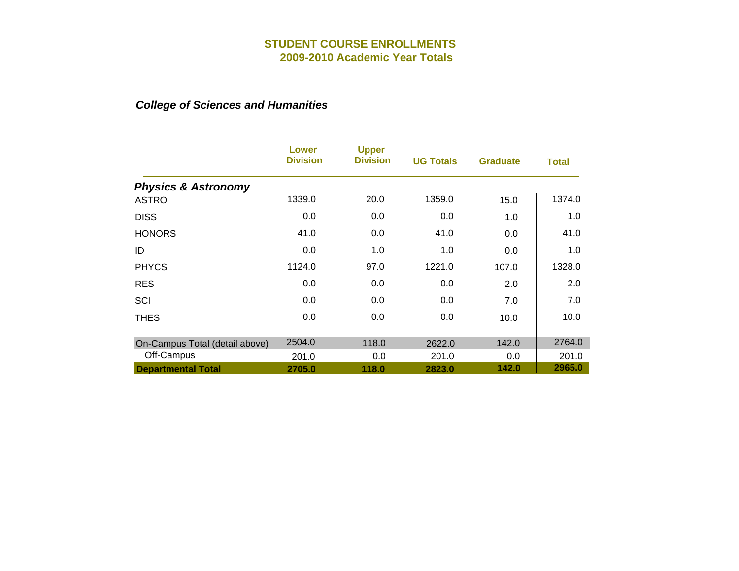|                                | Lower<br><b>Division</b> | <b>Upper</b><br><b>Division</b> | <b>UG Totals</b> | <b>Graduate</b> | <b>Total</b> |
|--------------------------------|--------------------------|---------------------------------|------------------|-----------------|--------------|
| <b>Physics &amp; Astronomy</b> |                          |                                 |                  |                 |              |
| <b>ASTRO</b>                   | 1339.0                   | 20.0                            | 1359.0           | 15.0            | 1374.0       |
| <b>DISS</b>                    | 0.0                      | 0.0                             | 0.0              | 1.0             | 1.0          |
| <b>HONORS</b>                  | 41.0                     | 0.0                             | 41.0             | 0.0             | 41.0         |
| ID                             | 0.0                      | 1.0                             | 1.0              | 0.0             | 1.0          |
| <b>PHYCS</b>                   | 1124.0                   | 97.0                            | 1221.0           | 107.0           | 1328.0       |
| <b>RES</b>                     | 0.0                      | 0.0                             | 0.0              | 2.0             | 2.0          |
| SCI                            | 0.0                      | 0.0                             | 0.0              | 7.0             | 7.0          |
| <b>THES</b>                    | 0.0                      | 0.0                             | 0.0              | 10.0            | 10.0         |
| On-Campus Total (detail above) | 2504.0                   | 118.0                           | 2622.0           | 142.0           | 2764.0       |
| Off-Campus                     | 201.0                    | 0.0                             | 201.0            | 0.0             | 201.0        |
| <b>Departmental Total</b>      | 2705.0                   | 118.0                           | 2823.0           | 142.0           | 2965.0       |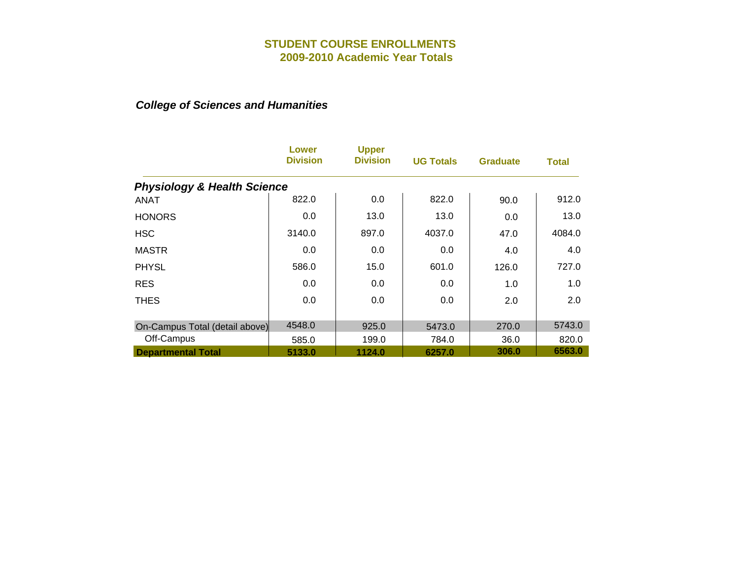|                                        | Lower<br><b>Division</b> | <b>Upper</b><br><b>Division</b> | <b>UG Totals</b> | <b>Graduate</b> | Total  |
|----------------------------------------|--------------------------|---------------------------------|------------------|-----------------|--------|
| <b>Physiology &amp; Health Science</b> |                          |                                 |                  |                 |        |
| <b>ANAT</b>                            | 822.0                    | 0.0                             | 822.0            | 90.0            | 912.0  |
| <b>HONORS</b>                          | 0.0                      | 13.0                            | 13.0             | 0.0             | 13.0   |
| <b>HSC</b>                             | 3140.0                   | 897.0                           | 4037.0           | 47.0            | 4084.0 |
| <b>MASTR</b>                           | 0.0                      | 0.0                             | 0.0              | 4.0             | 4.0    |
| <b>PHYSL</b>                           | 586.0                    | 15.0                            | 601.0            | 126.0           | 727.0  |
| <b>RES</b>                             | 0.0                      | 0.0                             | 0.0              | 1.0             | 1.0    |
| <b>THES</b>                            | 0.0                      | 0.0                             | 0.0              | 2.0             | 2.0    |
| On-Campus Total (detail above)         | 4548.0                   | 925.0                           | 5473.0           | 270.0           | 5743.0 |
| Off-Campus                             | 585.0                    | 199.0                           | 784.0            | 36.0            | 820.0  |
| <b>Departmental Total</b>              | 5133.0                   | 1124.0                          | 6257.0           | 306.0           | 6563.0 |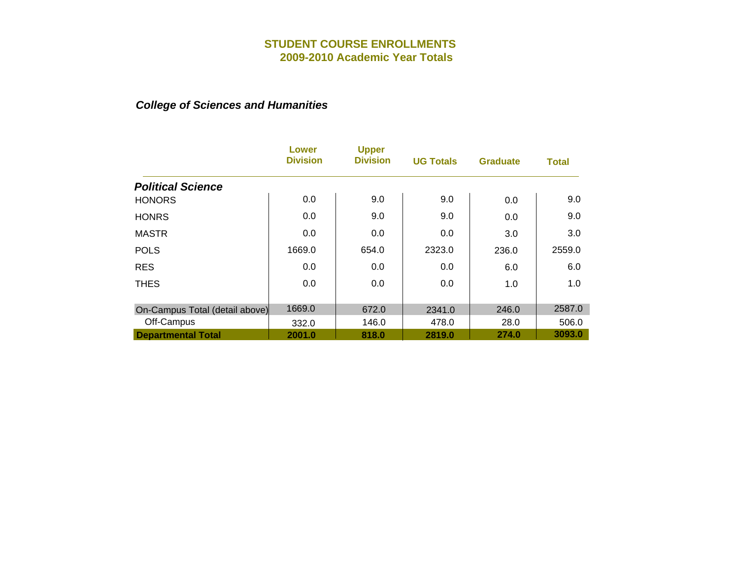|                                | Lower<br><b>Division</b> | <b>Upper</b><br><b>Division</b> | <b>UG Totals</b> | <b>Graduate</b> | <b>Total</b> |
|--------------------------------|--------------------------|---------------------------------|------------------|-----------------|--------------|
| <b>Political Science</b>       |                          |                                 |                  |                 |              |
| <b>HONORS</b>                  | 0.0                      | 9.0                             | 9.0              | 0.0             | 9.0          |
| <b>HONRS</b>                   | 0.0                      | 9.0                             | 9.0              | 0.0             | 9.0          |
| <b>MASTR</b>                   | 0.0                      | 0.0                             | 0.0              | 3.0             | 3.0          |
| <b>POLS</b>                    | 1669.0                   | 654.0                           | 2323.0           | 236.0           | 2559.0       |
| <b>RES</b>                     | 0.0                      | 0.0                             | 0.0              | 6.0             | 6.0          |
| <b>THES</b>                    | 0.0                      | 0.0                             | 0.0              | 1.0             | 1.0          |
| On-Campus Total (detail above) | 1669.0                   | 672.0                           | 2341.0           | 246.0           | 2587.0       |
| Off-Campus                     | 332.0                    | 146.0                           | 478.0            | 28.0            | 506.0        |
| <b>Departmental Total</b>      | 2001.0                   | 818.0                           | 2819.0           | 274.0           | 3093.0       |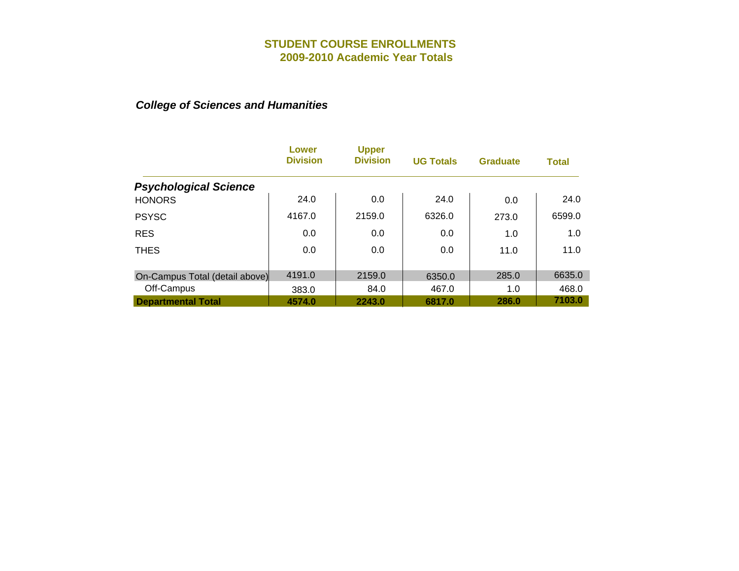|                                | Lower<br><b>Division</b> | <b>Upper</b><br><b>Division</b> | <b>UG Totals</b> | <b>Graduate</b> | <b>Total</b> |
|--------------------------------|--------------------------|---------------------------------|------------------|-----------------|--------------|
| <b>Psychological Science</b>   |                          |                                 |                  |                 |              |
| <b>HONORS</b>                  | 24.0                     | 0.0                             | 24.0             | 0.0             | 24.0         |
| <b>PSYSC</b>                   | 4167.0                   | 2159.0                          | 6326.0           | 273.0           | 6599.0       |
| <b>RES</b>                     | 0.0                      | 0.0                             | 0.0              | 1.0             | 1.0          |
| <b>THES</b>                    | 0.0                      | 0.0                             | 0.0              | 11.0            | 11.0         |
|                                |                          |                                 |                  |                 |              |
| On-Campus Total (detail above) | 4191.0                   | 2159.0                          | 6350.0           | 285.0           | 6635.0       |
| Off-Campus                     | 383.0                    | 84.0                            | 467.0            | 1.0             | 468.0        |
| <b>Departmental Total</b>      | 4574.0                   | 2243.0                          | 6817.0           | 286.0           | 7103.0       |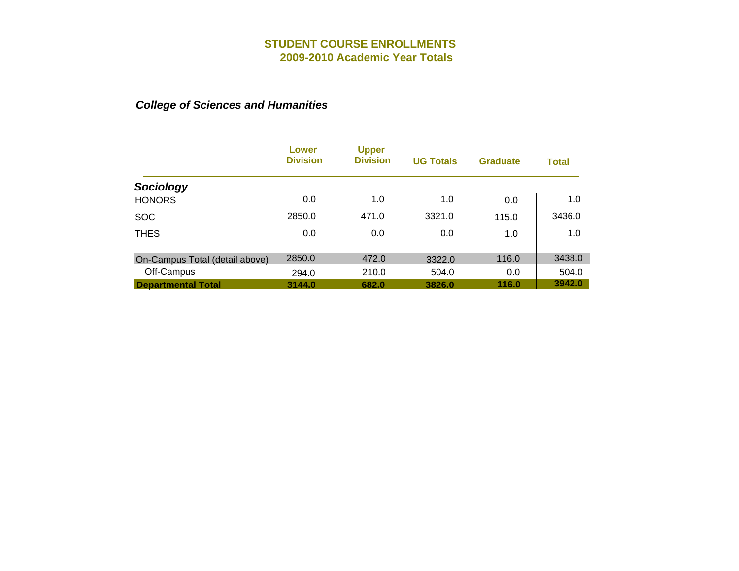|                                | Lower<br><b>Division</b> | <b>Upper</b><br><b>Division</b> | <b>UG Totals</b> | <b>Graduate</b> | <b>Total</b> |
|--------------------------------|--------------------------|---------------------------------|------------------|-----------------|--------------|
| Sociology                      |                          |                                 |                  |                 |              |
| <b>HONORS</b>                  | 0.0                      | 1.0                             | 1.0              | 0.0             | 1.0          |
| <b>SOC</b>                     | 2850.0                   | 471.0                           | 3321.0           | 115.0           | 3436.0       |
| <b>THES</b>                    | 0.0                      | 0.0                             | 0.0              | 1.0             | 1.0          |
| On-Campus Total (detail above) | 2850.0                   | 472.0                           | 3322.0           | 116.0           | 3438.0       |
| Off-Campus                     | 294.0                    | 210.0                           | 504.0            | 0.0             | 504.0        |
| <b>Departmental Total</b>      | 3144.0                   | 682.0                           | 3826.0           | 116.0           | 3942.0       |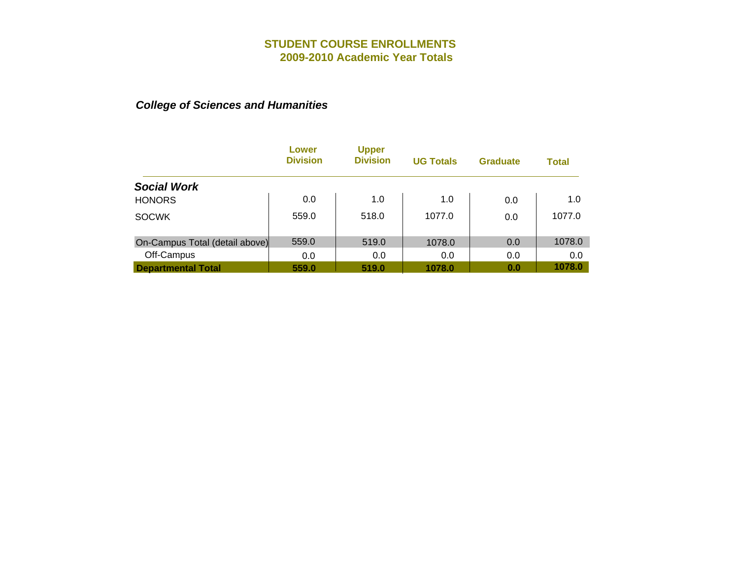|                                | Lower<br><b>Division</b> | <b>Upper</b><br><b>Division</b> | <b>UG Totals</b> | <b>Graduate</b> | <b>Total</b> |
|--------------------------------|--------------------------|---------------------------------|------------------|-----------------|--------------|
| <b>Social Work</b>             |                          |                                 |                  |                 |              |
| <b>HONORS</b>                  | 0.0                      | 1.0                             | 1.0              | 0.0             | 1.0          |
| <b>SOCWK</b>                   | 559.0                    | 518.0                           | 1077.0           | 0.0             | 1077.0       |
| On-Campus Total (detail above) | 559.0                    | 519.0                           | 1078.0           | 0.0             | 1078.0       |
| Off-Campus                     | 0.0                      | 0.0                             | 0.0              | 0.0             | 0.0          |
| <b>Departmental Total</b>      | 559.0                    | 519.0                           | 1078.0           | 0.0             | 1078.0       |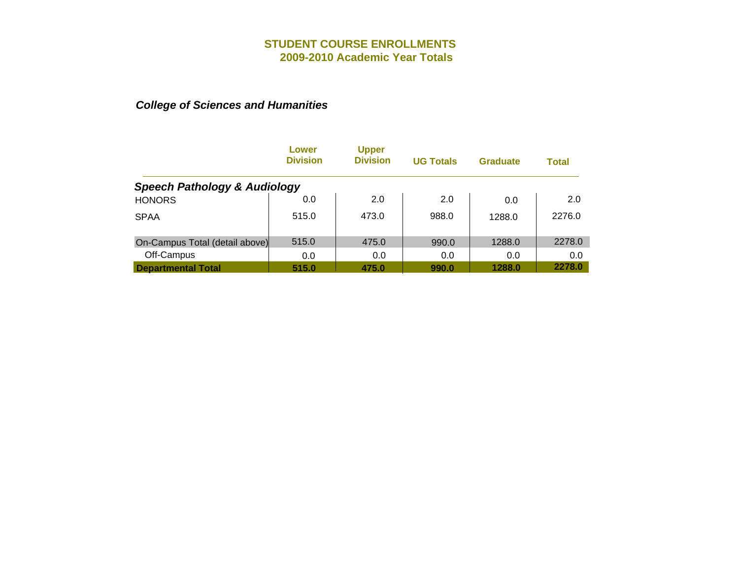|                                         | Lower<br><b>Division</b> | <b>Upper</b><br><b>Division</b> | <b>UG Totals</b> | <b>Graduate</b> | Total  |
|-----------------------------------------|--------------------------|---------------------------------|------------------|-----------------|--------|
| <b>Speech Pathology &amp; Audiology</b> |                          |                                 |                  |                 |        |
| <b>HONORS</b>                           | 0.0                      | 2.0                             | 2.0              | 0.0             | 2.0    |
| <b>SPAA</b>                             | 515.0                    | 473.0                           | 988.0            | 1288.0          | 2276.0 |
| On-Campus Total (detail above)          | 515.0                    | 475.0                           | 990.0            | 1288.0          | 2278.0 |
| Off-Campus                              | 0.0                      | 0.0                             | 0.0              | 0.0             | 0.0    |
| <b>Departmental Total</b>               | 515.0                    | 475.0                           | 990.0            | 1288.0          | 2278.0 |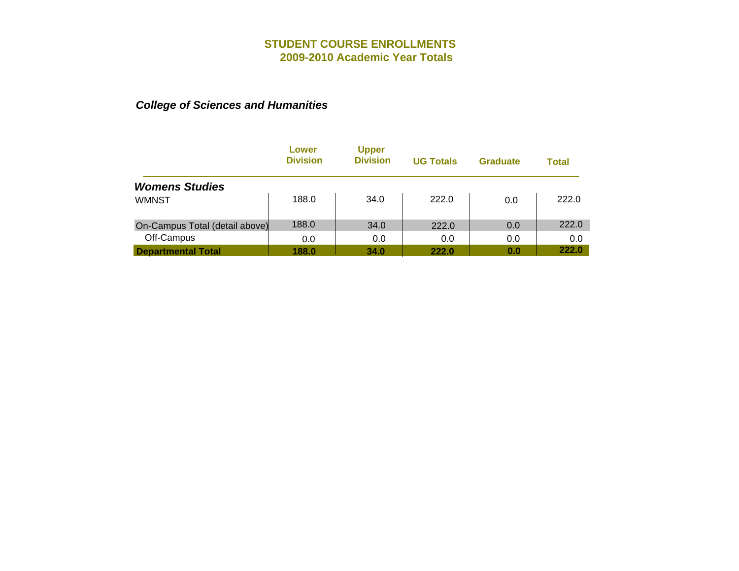|                                | Lower<br><b>Division</b> | <b>Upper</b><br><b>Division</b> | <b>UG Totals</b> | <b>Graduate</b> | Total |
|--------------------------------|--------------------------|---------------------------------|------------------|-----------------|-------|
| <b>Womens Studies</b>          |                          |                                 |                  |                 |       |
| <b>WMNST</b>                   | 188.0                    | 34.0                            | 222.0            | 0.0             | 222.0 |
| On-Campus Total (detail above) | 188.0                    | 34.0                            | 222.0            | 0.0             | 222.0 |
| Off-Campus                     | 0.0                      | 0.0                             | 0.0              | 0.0             | 0.0   |
| <b>Departmental Total</b>      | 188.0                    | 34.0                            | 222.0            | 0.0             | 222.0 |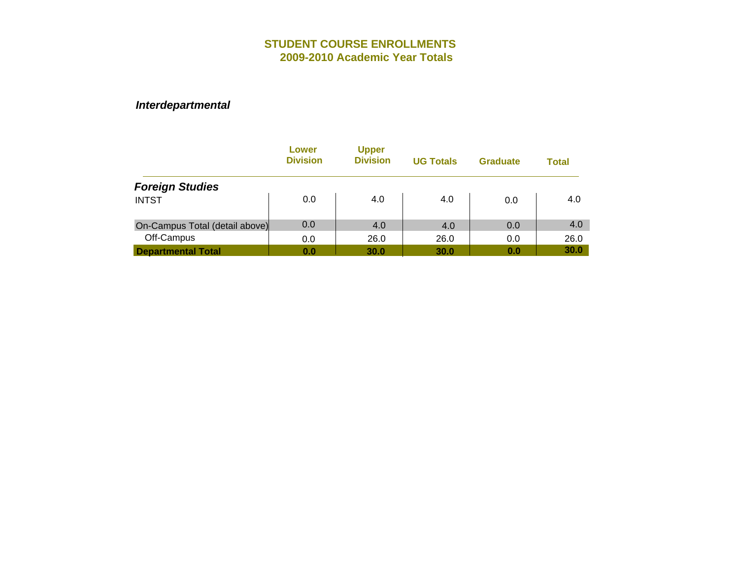|                                | Lower<br><b>Division</b> | <b>Upper</b><br><b>Division</b> | <b>UG Totals</b> | <b>Graduate</b> | <b>Total</b> |
|--------------------------------|--------------------------|---------------------------------|------------------|-----------------|--------------|
| <b>Foreign Studies</b>         |                          |                                 |                  |                 |              |
| <b>INTST</b>                   | 0.0                      | 4.0                             | 4.0              | 0.0             | 4.0          |
| On-Campus Total (detail above) | 0.0                      | 4.0                             | 4.0              | 0.0             | 4.0          |
| Off-Campus                     | 0.0                      | 26.0                            | 26.0             | 0.0             | 26.0         |
| <b>Departmental Total</b>      | 0.0                      | 30.0                            | 30.0             | 0.0             | 30.0         |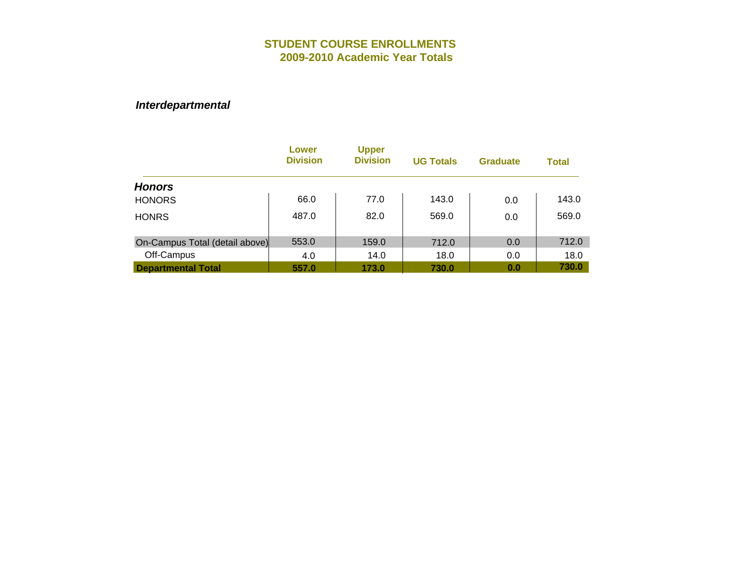|                                | Lower<br><b>Division</b> | <b>Upper</b><br><b>Division</b> | <b>UG Totals</b> | <b>Graduate</b> | <b>Total</b> |
|--------------------------------|--------------------------|---------------------------------|------------------|-----------------|--------------|
| <b>Honors</b>                  |                          |                                 |                  |                 |              |
| <b>HONORS</b>                  | 66.0                     | 77.0                            | 143.0            | 0.0             | 143.0        |
| <b>HONRS</b>                   | 487.0                    | 82.0                            | 569.0            | 0.0             | 569.0        |
|                                |                          |                                 |                  |                 |              |
| On-Campus Total (detail above) | 553.0                    | 159.0                           | 712.0            | 0.0             | 712.0        |
| Off-Campus                     | 4.0                      | 14.0                            | 18.0             | 0.0             | 18.0         |
| <b>Departmental Total</b>      | 557.0                    | 173.0                           | 730.0            | 0.0             | 730.0        |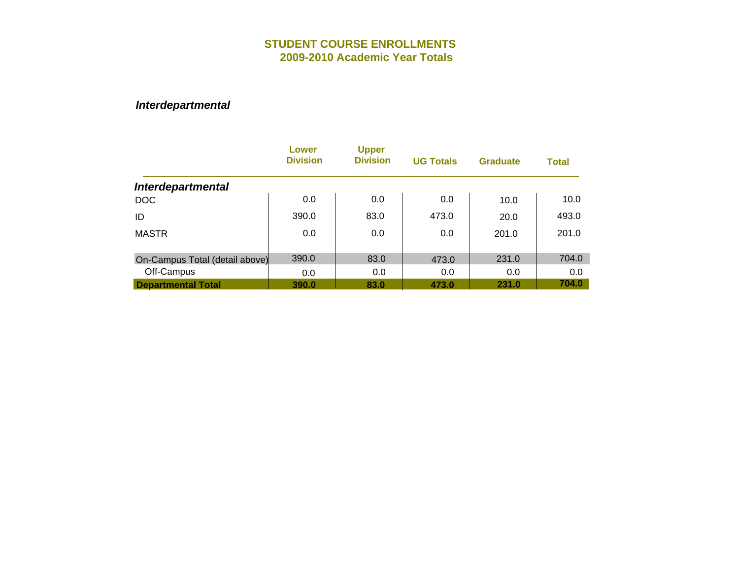|                                | <b>Lower</b><br><b>Division</b> | <b>Upper</b><br><b>Division</b> | <b>UG Totals</b> | <b>Graduate</b> | <b>Total</b> |
|--------------------------------|---------------------------------|---------------------------------|------------------|-----------------|--------------|
| <b>Interdepartmental</b>       |                                 |                                 |                  |                 |              |
| <b>DOC</b>                     | 0.0                             | 0.0                             | 0.0              | 10.0            | 10.0         |
| ID                             | 390.0                           | 83.0                            | 473.0            | 20.0            | 493.0        |
| <b>MASTR</b>                   | 0.0                             | 0.0                             | 0.0              | 201.0           | 201.0        |
| On-Campus Total (detail above) | 390.0                           | 83.0                            | 473.0            | 231.0           | 704.0        |
| Off-Campus                     | 0.0                             | 0.0                             | 0.0              | 0.0             | 0.0          |
| <b>Departmental Total</b>      | 390.0                           | 83.0                            | 473.0            | 231.0           | 704.0        |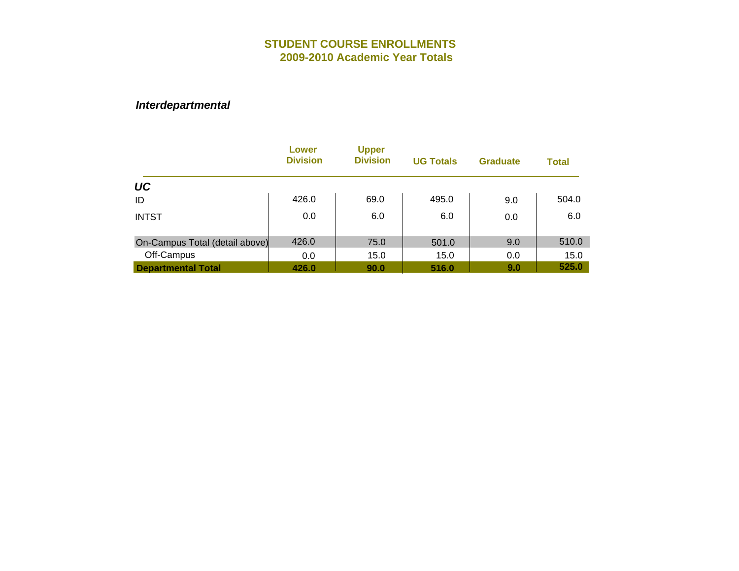|                                | Lower<br><b>Division</b> | <b>Upper</b><br><b>Division</b> | <b>UG Totals</b> | <b>Graduate</b> | <b>Total</b> |
|--------------------------------|--------------------------|---------------------------------|------------------|-----------------|--------------|
| <b>UC</b>                      |                          |                                 |                  |                 |              |
| ID                             | 426.0                    | 69.0                            | 495.0            | 9.0             | 504.0        |
| <b>INTST</b>                   | 0.0                      | 6.0                             | 6.0              | 0.0             | 6.0          |
| On-Campus Total (detail above) | 426.0                    | 75.0                            | 501.0            | 9.0             | 510.0        |
| Off-Campus                     | 0.0                      | 15.0                            | 15.0             | 0.0             | 15.0         |
| <b>Departmental Total</b>      | 426.0                    | 90.0                            | 516.0            | 9.0             | 525.0        |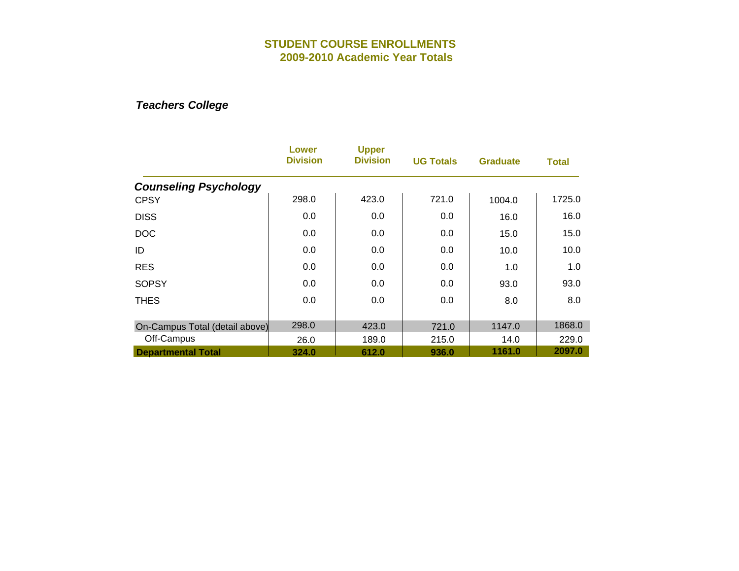|                                | Lower<br><b>Division</b> | <b>Upper</b><br><b>Division</b> | <b>UG Totals</b> | <b>Graduate</b> | <b>Total</b> |
|--------------------------------|--------------------------|---------------------------------|------------------|-----------------|--------------|
| <b>Counseling Psychology</b>   |                          |                                 |                  |                 |              |
| <b>CPSY</b>                    | 298.0                    | 423.0                           | 721.0            | 1004.0          | 1725.0       |
| <b>DISS</b>                    | 0.0                      | 0.0                             | 0.0              | 16.0            | 16.0         |
| <b>DOC</b>                     | 0.0                      | 0.0                             | 0.0              | 15.0            | 15.0         |
| ID                             | 0.0                      | 0.0                             | 0.0              | 10.0            | 10.0         |
| <b>RES</b>                     | 0.0                      | 0.0                             | 0.0              | 1.0             | 1.0          |
| <b>SOPSY</b>                   | 0.0                      | 0.0                             | 0.0              | 93.0            | 93.0         |
| <b>THES</b>                    | 0.0                      | 0.0                             | 0.0              | 8.0             | 8.0          |
| On-Campus Total (detail above) | 298.0                    | 423.0                           | 721.0            | 1147.0          | 1868.0       |
| Off-Campus                     | 26.0                     | 189.0                           | 215.0            | 14.0            | 229.0        |
| <b>Departmental Total</b>      | 324.0                    | 612.0                           | 936.0            | 1161.0          | 2097.0       |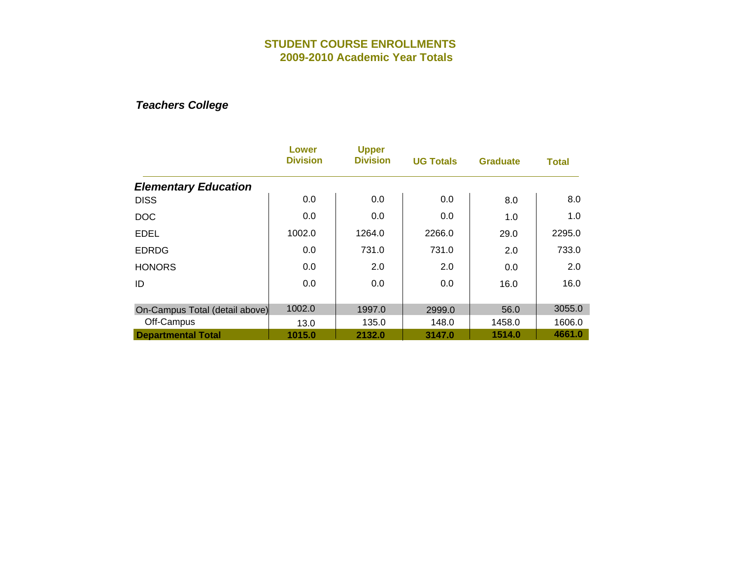|                                | Lower<br><b>Division</b> | <b>Upper</b><br><b>Division</b> | <b>UG Totals</b> | <b>Graduate</b> | Total  |
|--------------------------------|--------------------------|---------------------------------|------------------|-----------------|--------|
| <b>Elementary Education</b>    |                          |                                 |                  |                 |        |
| <b>DISS</b>                    | 0.0                      | 0.0                             | 0.0              | 8.0             | 8.0    |
| <b>DOC</b>                     | 0.0                      | 0.0                             | 0.0              | 1.0             | 1.0    |
| <b>EDEL</b>                    | 1002.0                   | 1264.0                          | 2266.0           | 29.0            | 2295.0 |
| <b>EDRDG</b>                   | 0.0                      | 731.0                           | 731.0            | 2.0             | 733.0  |
| <b>HONORS</b>                  | 0.0                      | 2.0                             | 2.0              | 0.0             | 2.0    |
| ID                             | 0.0                      | 0.0                             | 0.0              | 16.0            | 16.0   |
| On-Campus Total (detail above) | 1002.0                   | 1997.0                          | 2999.0           | 56.0            | 3055.0 |
| Off-Campus                     | 13.0                     | 135.0                           | 148.0            | 1458.0          | 1606.0 |
| <b>Departmental Total</b>      | 1015.0                   | 2132.0                          | 3147.0           | 1514.0          | 4661.0 |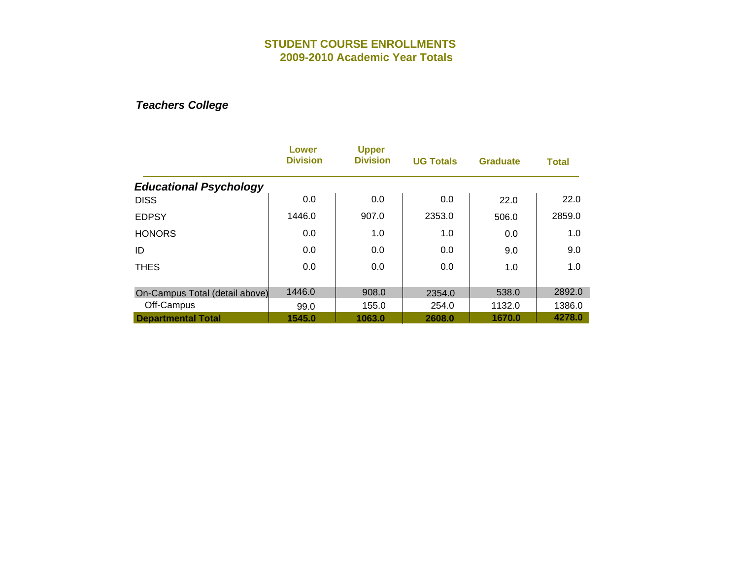|                                | Lower<br><b>Division</b> | <b>Upper</b><br><b>Division</b> | <b>UG Totals</b> | <b>Graduate</b> | <b>Total</b> |
|--------------------------------|--------------------------|---------------------------------|------------------|-----------------|--------------|
| <b>Educational Psychology</b>  |                          |                                 |                  |                 |              |
| <b>DISS</b>                    | 0.0                      | 0.0                             | 0.0              | 22.0            | 22.0         |
| <b>EDPSY</b>                   | 1446.0                   | 907.0                           | 2353.0           | 506.0           | 2859.0       |
| <b>HONORS</b>                  | 0.0                      | 1.0                             | 1.0              | 0.0             | 1.0          |
| ID                             | 0.0                      | 0.0                             | 0.0              | 9.0             | 9.0          |
| <b>THES</b>                    | 0.0                      | 0.0                             | 0.0              | 1.0             | 1.0          |
| On-Campus Total (detail above) | 1446.0                   | 908.0                           | 2354.0           | 538.0           | 2892.0       |
| Off-Campus                     | 99.0                     | 155.0                           | 254.0            | 1132.0          | 1386.0       |
| <b>Departmental Total</b>      | 1545.0                   | 1063.0                          | 2608.0           | 1670.0          | 4278.0       |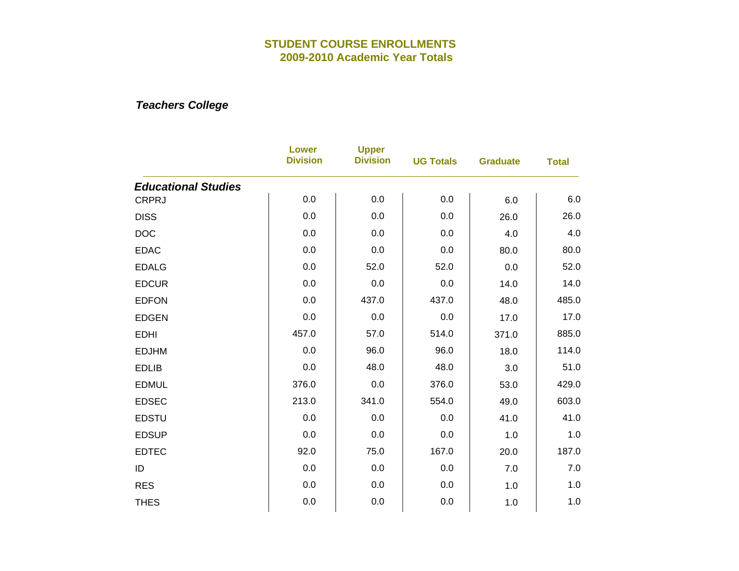|                            | <b>Lower</b><br><b>Division</b> | <b>Upper</b><br><b>Division</b> | <b>UG Totals</b> | <b>Graduate</b> | <b>Total</b> |
|----------------------------|---------------------------------|---------------------------------|------------------|-----------------|--------------|
| <b>Educational Studies</b> |                                 |                                 |                  |                 |              |
| <b>CRPRJ</b>               | 0.0                             | 0.0                             | 0.0              | 6.0             | 6.0          |
| <b>DISS</b>                | 0.0                             | 0.0                             | 0.0              | 26.0            | 26.0         |
| <b>DOC</b>                 | 0.0                             | 0.0                             | 0.0              | 4.0             | 4.0          |
| <b>EDAC</b>                | 0.0                             | 0.0                             | 0.0              | 80.0            | 80.0         |
| <b>EDALG</b>               | 0.0                             | 52.0                            | 52.0             | 0.0             | 52.0         |
| <b>EDCUR</b>               | 0.0                             | 0.0                             | 0.0              | 14.0            | 14.0         |
| <b>EDFON</b>               | 0.0                             | 437.0                           | 437.0            | 48.0            | 485.0        |
| <b>EDGEN</b>               | 0.0                             | 0.0                             | 0.0              | 17.0            | 17.0         |
| <b>EDHI</b>                | 457.0                           | 57.0                            | 514.0            | 371.0           | 885.0        |
| <b>EDJHM</b>               | 0.0                             | 96.0                            | 96.0             | 18.0            | 114.0        |
| <b>EDLIB</b>               | 0.0                             | 48.0                            | 48.0             | 3.0             | 51.0         |
| <b>EDMUL</b>               | 376.0                           | 0.0                             | 376.0            | 53.0            | 429.0        |
| <b>EDSEC</b>               | 213.0                           | 341.0                           | 554.0            | 49.0            | 603.0        |
| <b>EDSTU</b>               | 0.0                             | 0.0                             | 0.0              | 41.0            | 41.0         |
| <b>EDSUP</b>               | 0.0                             | 0.0                             | 0.0              | 1.0             | 1.0          |
| <b>EDTEC</b>               | 92.0                            | 75.0                            | 167.0            | 20.0            | 187.0        |
| ID                         | 0.0                             | 0.0                             | 0.0              | 7.0             | 7.0          |
| <b>RES</b>                 | 0.0                             | 0.0                             | 0.0              | 1.0             | 1.0          |
| <b>THES</b>                | 0.0                             | 0.0                             | 0.0              | 1.0             | 1.0          |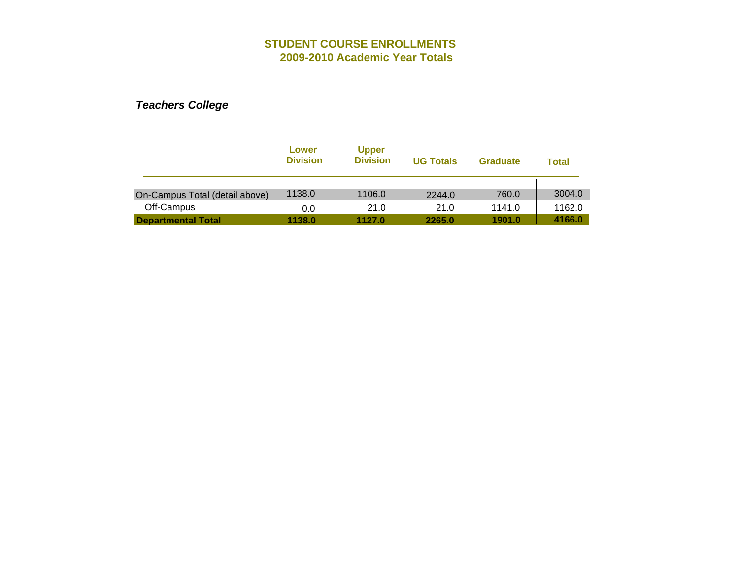|                                | Lower<br><b>Division</b> | <b>Upper</b><br><b>Division</b> | <b>UG Totals</b> | <b>Graduate</b> | <b>Total</b> |
|--------------------------------|--------------------------|---------------------------------|------------------|-----------------|--------------|
| On-Campus Total (detail above) | 1138.0                   | 1106.0                          | 2244.0           | 760.0           | 3004.0       |
| Off-Campus                     | 0.0                      | 21.0                            | 21.0             | 1141.0          | 1162.0       |
| <b>Departmental Total</b>      | 1138.0                   | 1127.0                          | 2265.0           | 1901.0          | 4166.0       |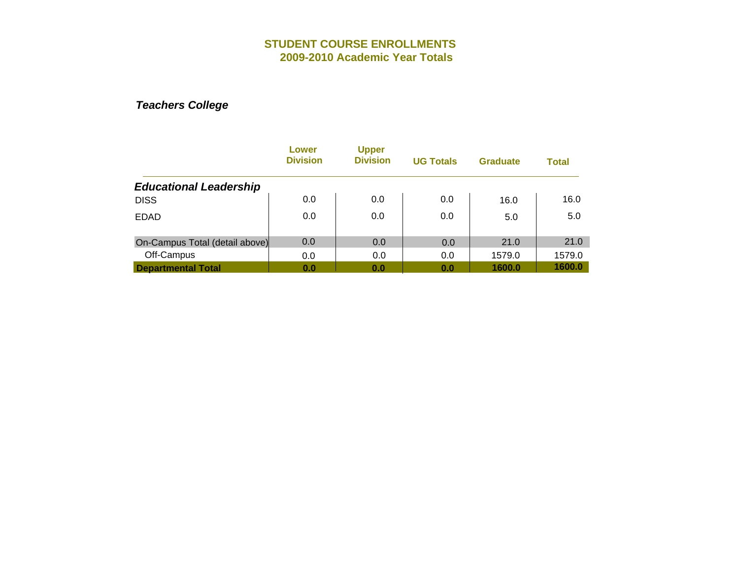|                                | Lower<br><b>Division</b> | <b>Upper</b><br><b>Division</b> | <b>UG Totals</b> | <b>Graduate</b> | <b>Total</b> |
|--------------------------------|--------------------------|---------------------------------|------------------|-----------------|--------------|
| <b>Educational Leadership</b>  |                          |                                 |                  |                 |              |
| <b>DISS</b>                    | 0.0                      | 0.0                             | 0.0              | 16.0            | 16.0         |
| <b>EDAD</b>                    | 0.0                      | 0.0                             | 0.0              | 5.0             | 5.0          |
| On-Campus Total (detail above) | 0.0                      | 0.0                             | 0.0              | 21.0            | 21.0         |
| Off-Campus                     | 0.0                      | 0.0                             | 0.0              | 1579.0          | 1579.0       |
| <b>Departmental Total</b>      | 0.0                      | 0.0                             | 0.0              | 1600.0          | 1600.0       |